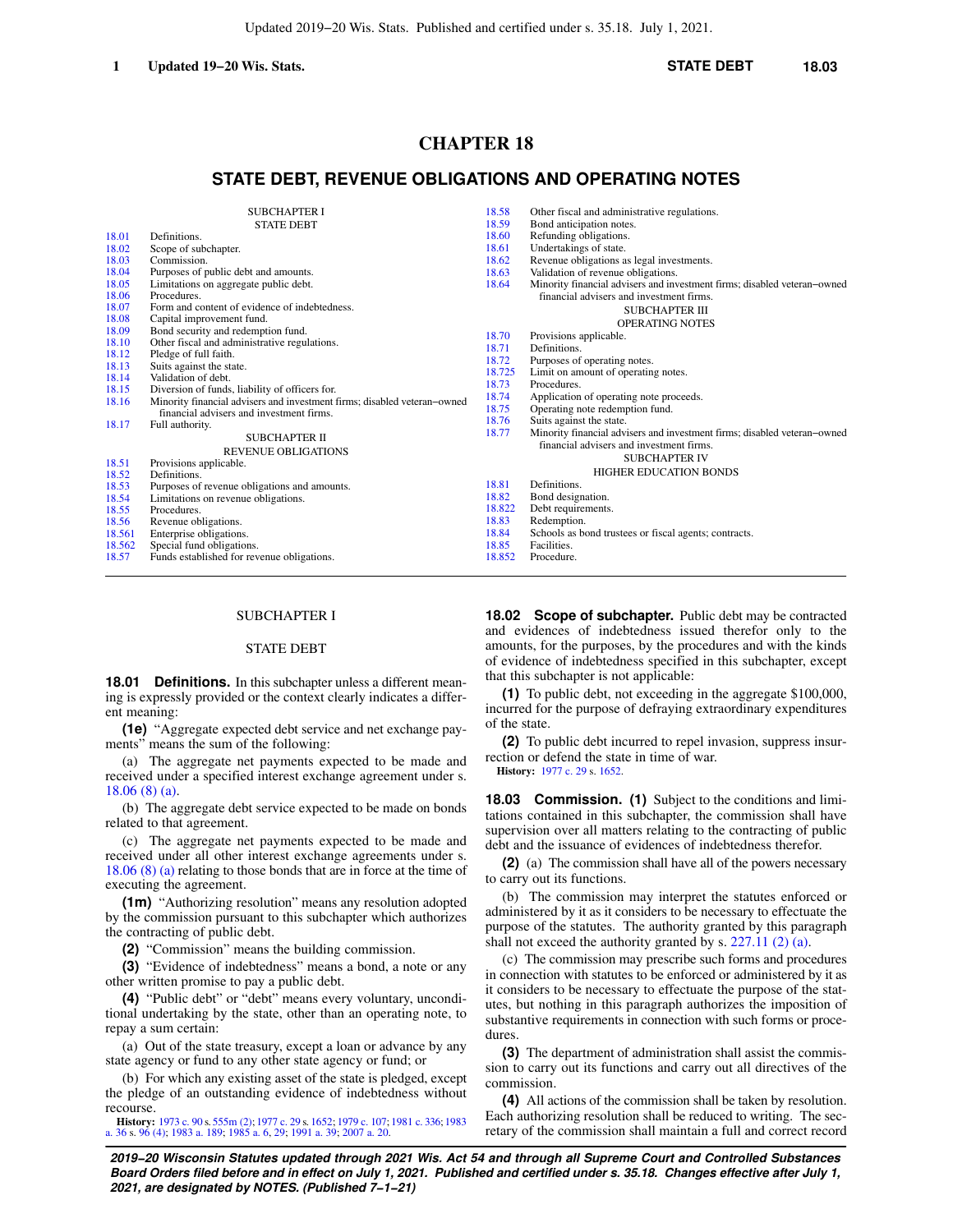# **CHAPTER 18**

# **STATE DEBT, REVENUE OBLIGATIONS AND OPERATING NOTES**

| <b>SUBCHAPTER I</b>                                    |                                                                          | 18.58           | Other fiscal and administrative regulations.                             |
|--------------------------------------------------------|--------------------------------------------------------------------------|-----------------|--------------------------------------------------------------------------|
| <b>STATE DEBT</b>                                      |                                                                          | 18.59           | Bond anticipation notes.                                                 |
| 18.01<br>Definitions.                                  |                                                                          |                 | Refunding obligations.                                                   |
| 18.02<br>Scope of subchapter.                          |                                                                          | 18.61           | Undertakings of state.                                                   |
| 18.03<br>Commission.                                   |                                                                          | 18.62           | Revenue obligations as legal investments.                                |
| 18.04<br>Purposes of public debt and amounts.          |                                                                          | 18.63           | Validation of revenue obligations.                                       |
| 18.05<br>Limitations on aggregate public debt.         |                                                                          | 18.64           | Minority financial advisers and investment firms; disabled veteran-owned |
| 18.06<br>Procedures.                                   |                                                                          |                 | financial advisers and investment firms.                                 |
| Form and content of evidence of indebtedness.<br>18.07 |                                                                          |                 | <b>SUBCHAPTER III</b>                                                    |
| 18.08<br>Capital improvement fund.                     |                                                                          |                 | <b>OPERATING NOTES</b>                                                   |
| 18.09                                                  | Bond security and redemption fund.                                       |                 | Provisions applicable.                                                   |
| 18.10                                                  | Other fiscal and administrative regulations.                             | 18.70<br>18.71  | Definitions.                                                             |
| 18.12<br>Pledge of full faith.                         |                                                                          | 18.72           | Purposes of operating notes.                                             |
| 18.13<br>Suits against the state.                      |                                                                          | 18.725          | Limit on amount of operating notes.                                      |
| 18.14<br>Validation of debt.                           |                                                                          | 18.73           | Procedures.                                                              |
| 18.15                                                  | Diversion of funds, liability of officers for.                           | 18.74           | Application of operating note proceeds.                                  |
| 18.16                                                  | Minority financial advisers and investment firms; disabled veteran-owned | 18.75           | Operating note redemption fund.                                          |
| financial advisers and investment firms.               |                                                                          | 18.76           | Suits against the state.                                                 |
| 18.17<br>Full authority.                               |                                                                          | 18.77           | Minority financial advisers and investment firms; disabled veteran-owned |
|                                                        | <b>SUBCHAPTER II</b>                                                     |                 | financial advisers and investment firms.                                 |
| <b>REVENUE OBLIGATIONS</b>                             |                                                                          |                 | <b>SUBCHAPTER IV</b>                                                     |
| 18.51<br>Provisions applicable.                        |                                                                          |                 |                                                                          |
| 18.52<br>Definitions.                                  |                                                                          |                 | <b>HIGHER EDUCATION BONDS</b>                                            |
| 18.53                                                  | Purposes of revenue obligations and amounts.                             | 18.81           | Definitions.                                                             |
| 18.54<br>Limitations on revenue obligations.           |                                                                          | 18.82           | Bond designation.                                                        |
| 18.55<br>Procedures.                                   |                                                                          | 18.822<br>18.83 | Debt requirements.                                                       |
| 18.56                                                  | Revenue obligations.                                                     |                 | Redemption.                                                              |
| 18.561<br>Enterprise obligations.                      |                                                                          | 18.84           | Schools as bond trustees or fiscal agents; contracts.                    |
| 18.562<br>Special fund obligations.                    |                                                                          | 18.85           | Facilities.                                                              |
| 18.57                                                  | Funds established for revenue obligations.                               | 18.852          | Procedure.                                                               |

### SUBCHAPTER I

## STATE DEBT

**18.01 Definitions.** In this subchapter unless a different meaning is expressly provided or the context clearly indicates a different meaning:

**(1e)** "Aggregate expected debt service and net exchange payments" means the sum of the following:

(a) The aggregate net payments expected to be made and received under a specified interest exchange agreement under s. [18.06 \(8\) \(a\)](https://docs-preview.legis.wisconsin.gov/document/statutes/18.06(8)(a)).

(b) The aggregate debt service expected to be made on bonds related to that agreement.

(c) The aggregate net payments expected to be made and received under all other interest exchange agreements under s. [18.06 \(8\) \(a\)](https://docs-preview.legis.wisconsin.gov/document/statutes/18.06(8)(a)) relating to those bonds that are in force at the time of executing the agreement.

**(1m)** "Authorizing resolution" means any resolution adopted by the commission pursuant to this subchapter which authorizes the contracting of public debt.

**(2)** "Commission" means the building commission.

**(3)** "Evidence of indebtedness" means a bond, a note or any other written promise to pay a public debt.

**(4)** "Public debt" or "debt" means every voluntary, unconditional undertaking by the state, other than an operating note, to repay a sum certain:

(a) Out of the state treasury, except a loan or advance by any state agency or fund to any other state agency or fund; or

(b) For which any existing asset of the state is pledged, except the pledge of an outstanding evidence of indebtedness without recourse.

**History:** [1973 c. 90](https://docs-preview.legis.wisconsin.gov/document/acts/1973/90) s. [555m \(2\);](https://docs-preview.legis.wisconsin.gov/document/acts/1973/90,%20s.%20555m) [1977 c. 29](https://docs-preview.legis.wisconsin.gov/document/acts/1977/29) s. [1652;](https://docs-preview.legis.wisconsin.gov/document/acts/1977/29,%20s.%201652) [1979 c. 107](https://docs-preview.legis.wisconsin.gov/document/acts/1979/107); [1981 c. 336](https://docs-preview.legis.wisconsin.gov/document/acts/1981/336); [1983](https://docs-preview.legis.wisconsin.gov/document/acts/1983/36) [a. 36](https://docs-preview.legis.wisconsin.gov/document/acts/1983/36) s. [96 \(4\)](https://docs-preview.legis.wisconsin.gov/document/acts/1983/36,%20s.%2096); [1983 a. 189](https://docs-preview.legis.wisconsin.gov/document/acts/1983/189); [1985 a. 6,](https://docs-preview.legis.wisconsin.gov/document/acts/1985/6) [29](https://docs-preview.legis.wisconsin.gov/document/acts/1985/29); [1991 a. 39](https://docs-preview.legis.wisconsin.gov/document/acts/1991/39); [2007 a. 20.](https://docs-preview.legis.wisconsin.gov/document/acts/2007/20)

**18.02 Scope of subchapter.** Public debt may be contracted and evidences of indebtedness issued therefor only to the amounts, for the purposes, by the procedures and with the kinds of evidence of indebtedness specified in this subchapter, except that this subchapter is not applicable:

**(1)** To public debt, not exceeding in the aggregate \$100,000, incurred for the purpose of defraying extraordinary expenditures of the state.

**(2)** To public debt incurred to repel invasion, suppress insurrection or defend the state in time of war.

**History:** [1977 c. 29](https://docs-preview.legis.wisconsin.gov/document/acts/1977/29) s. [1652](https://docs-preview.legis.wisconsin.gov/document/acts/1977/29,%20s.%201652).

**18.03 Commission. (1)** Subject to the conditions and limitations contained in this subchapter, the commission shall have supervision over all matters relating to the contracting of public debt and the issuance of evidences of indebtedness therefor.

**(2)** (a) The commission shall have all of the powers necessary to carry out its functions.

(b) The commission may interpret the statutes enforced or administered by it as it considers to be necessary to effectuate the purpose of the statutes. The authority granted by this paragraph shall not exceed the authority granted by s. [227.11 \(2\) \(a\)](https://docs-preview.legis.wisconsin.gov/document/statutes/227.11(2)(a)).

(c) The commission may prescribe such forms and procedures in connection with statutes to be enforced or administered by it as it considers to be necessary to effectuate the purpose of the statutes, but nothing in this paragraph authorizes the imposition of substantive requirements in connection with such forms or procedures.

**(3)** The department of administration shall assist the commission to carry out its functions and carry out all directives of the commission.

**(4)** All actions of the commission shall be taken by resolution. Each authorizing resolution shall be reduced to writing. The secretary of the commission shall maintain a full and correct record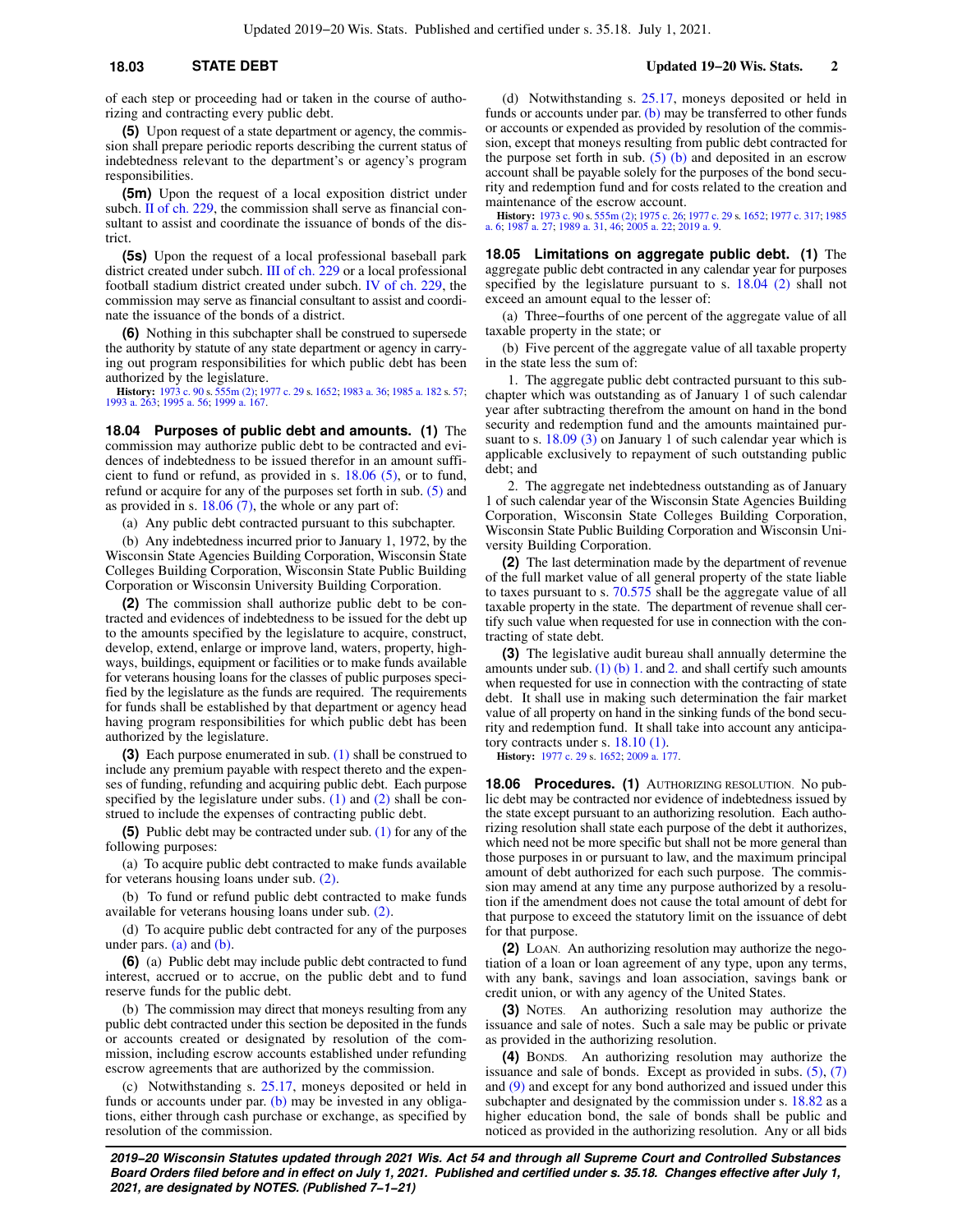**(5)** Upon request of a state department or agency, the commission shall prepare periodic reports describing the current status of indebtedness relevant to the department's or agency's program responsibilities.

**(5m)** Upon the request of a local exposition district under subch. [II of ch. 229](https://docs-preview.legis.wisconsin.gov/document/statutes/subch.%20II%20of%20ch.%20229), the commission shall serve as financial consultant to assist and coordinate the issuance of bonds of the district.

**(5s)** Upon the request of a local professional baseball park district created under subch. [III of ch. 229](https://docs-preview.legis.wisconsin.gov/document/statutes/subch.%20III%20of%20ch.%20229) or a local professional football stadium district created under subch. [IV of ch. 229](https://docs-preview.legis.wisconsin.gov/document/statutes/subch.%20IV%20of%20ch.%20229), the commission may serve as financial consultant to assist and coordinate the issuance of the bonds of a district.

**(6)** Nothing in this subchapter shall be construed to supersede the authority by statute of any state department or agency in carrying out program responsibilities for which public debt has been authorized by the legislature.

**History:** [1973 c. 90](https://docs-preview.legis.wisconsin.gov/document/acts/1973/90) s. [555m \(2\);](https://docs-preview.legis.wisconsin.gov/document/acts/1973/90,%20s.%20555m) [1977 c. 29](https://docs-preview.legis.wisconsin.gov/document/acts/1977/29) s. [1652;](https://docs-preview.legis.wisconsin.gov/document/acts/1977/29,%20s.%201652) [1983 a. 36;](https://docs-preview.legis.wisconsin.gov/document/acts/1983/36) [1985 a. 182](https://docs-preview.legis.wisconsin.gov/document/acts/1985/182) s. [57](https://docs-preview.legis.wisconsin.gov/document/acts/1985/182,%20s.%2057); [1993 a. 263;](https://docs-preview.legis.wisconsin.gov/document/acts/1993/263) [1995 a. 56;](https://docs-preview.legis.wisconsin.gov/document/acts/1995/56) [1999 a. 167.](https://docs-preview.legis.wisconsin.gov/document/acts/1999/167)

**18.04 Purposes of public debt and amounts. (1)** The commission may authorize public debt to be contracted and evidences of indebtedness to be issued therefor in an amount sufficient to fund or refund, as provided in s. [18.06 \(5\)](https://docs-preview.legis.wisconsin.gov/document/statutes/18.06(5)), or to fund, refund or acquire for any of the purposes set forth in sub. [\(5\)](https://docs-preview.legis.wisconsin.gov/document/statutes/18.04(5)) and as provided in s. [18.06 \(7\),](https://docs-preview.legis.wisconsin.gov/document/statutes/18.06(7)) the whole or any part of:

(a) Any public debt contracted pursuant to this subchapter.

(b) Any indebtedness incurred prior to January 1, 1972, by the Wisconsin State Agencies Building Corporation, Wisconsin State Colleges Building Corporation, Wisconsin State Public Building Corporation or Wisconsin University Building Corporation.

**(2)** The commission shall authorize public debt to be contracted and evidences of indebtedness to be issued for the debt up to the amounts specified by the legislature to acquire, construct, develop, extend, enlarge or improve land, waters, property, highways, buildings, equipment or facilities or to make funds available for veterans housing loans for the classes of public purposes specified by the legislature as the funds are required. The requirements for funds shall be established by that department or agency head having program responsibilities for which public debt has been authorized by the legislature.

**(3)** Each purpose enumerated in sub. [\(1\)](https://docs-preview.legis.wisconsin.gov/document/statutes/18.04(1)) shall be construed to include any premium payable with respect thereto and the expenses of funding, refunding and acquiring public debt. Each purpose specified by the legislature under subs.  $(1)$  and  $(2)$  shall be construed to include the expenses of contracting public debt.

**(5)** Public debt may be contracted under sub. [\(1\)](https://docs-preview.legis.wisconsin.gov/document/statutes/18.04(1)) for any of the following purposes:

(a) To acquire public debt contracted to make funds available for veterans housing loans under sub. [\(2\).](https://docs-preview.legis.wisconsin.gov/document/statutes/18.04(2))

(b) To fund or refund public debt contracted to make funds available for veterans housing loans under sub. [\(2\).](https://docs-preview.legis.wisconsin.gov/document/statutes/18.04(2))

(d) To acquire public debt contracted for any of the purposes under pars. [\(a\)](https://docs-preview.legis.wisconsin.gov/document/statutes/18.04(5)(a)) and [\(b\)](https://docs-preview.legis.wisconsin.gov/document/statutes/18.04(5)(b)).

**(6)** (a) Public debt may include public debt contracted to fund interest, accrued or to accrue, on the public debt and to fund reserve funds for the public debt.

(b) The commission may direct that moneys resulting from any public debt contracted under this section be deposited in the funds or accounts created or designated by resolution of the commission, including escrow accounts established under refunding escrow agreements that are authorized by the commission.

(c) Notwithstanding s. [25.17](https://docs-preview.legis.wisconsin.gov/document/statutes/25.17), moneys deposited or held in funds or accounts under par. [\(b\)](https://docs-preview.legis.wisconsin.gov/document/statutes/18.04(6)(b)) may be invested in any obligations, either through cash purchase or exchange, as specified by resolution of the commission.

(d) Notwithstanding s. [25.17,](https://docs-preview.legis.wisconsin.gov/document/statutes/25.17) moneys deposited or held in funds or accounts under par. [\(b\)](https://docs-preview.legis.wisconsin.gov/document/statutes/18.04(6)(b)) may be transferred to other funds or accounts or expended as provided by resolution of the commission, except that moneys resulting from public debt contracted for the purpose set forth in sub.  $(5)$  (b) and deposited in an escrow account shall be payable solely for the purposes of the bond security and redemption fund and for costs related to the creation and maintenance of the escrow account.

**History:** [1973 c. 90](https://docs-preview.legis.wisconsin.gov/document/acts/1973/90) s. [555m \(2\)](https://docs-preview.legis.wisconsin.gov/document/acts/1973/90,%20s.%20555m); [1975 c. 26](https://docs-preview.legis.wisconsin.gov/document/acts/1975/26); [1977 c. 29](https://docs-preview.legis.wisconsin.gov/document/acts/1977/29) s. [1652;](https://docs-preview.legis.wisconsin.gov/document/acts/1977/29,%20s.%201652) [1977 c. 317](https://docs-preview.legis.wisconsin.gov/document/acts/1977/317); [1985](https://docs-preview.legis.wisconsin.gov/document/acts/1985/6) [a. 6](https://docs-preview.legis.wisconsin.gov/document/acts/1985/6); [1987 a. 27](https://docs-preview.legis.wisconsin.gov/document/acts/1987/27); [1989 a. 31](https://docs-preview.legis.wisconsin.gov/document/acts/1989/31), [46](https://docs-preview.legis.wisconsin.gov/document/acts/1989/46); [2005 a. 22](https://docs-preview.legis.wisconsin.gov/document/acts/2005/22); [2019 a. 9.](https://docs-preview.legis.wisconsin.gov/document/acts/2019/9)

**18.05 Limitations on aggregate public debt. (1)** The aggregate public debt contracted in any calendar year for purposes specified by the legislature pursuant to s. [18.04 \(2\)](https://docs-preview.legis.wisconsin.gov/document/statutes/18.04(2)) shall not exceed an amount equal to the lesser of:

(a) Three−fourths of one percent of the aggregate value of all taxable property in the state; or

(b) Five percent of the aggregate value of all taxable property in the state less the sum of:

1. The aggregate public debt contracted pursuant to this subchapter which was outstanding as of January 1 of such calendar year after subtracting therefrom the amount on hand in the bond security and redemption fund and the amounts maintained pur-suant to s. [18.09 \(3\)](https://docs-preview.legis.wisconsin.gov/document/statutes/18.09(3)) on January 1 of such calendar year which is applicable exclusively to repayment of such outstanding public debt; and

2. The aggregate net indebtedness outstanding as of January 1 of such calendar year of the Wisconsin State Agencies Building Corporation, Wisconsin State Colleges Building Corporation, Wisconsin State Public Building Corporation and Wisconsin University Building Corporation.

**(2)** The last determination made by the department of revenue of the full market value of all general property of the state liable to taxes pursuant to s. [70.575](https://docs-preview.legis.wisconsin.gov/document/statutes/70.575) shall be the aggregate value of all taxable property in the state. The department of revenue shall certify such value when requested for use in connection with the contracting of state debt.

**(3)** The legislative audit bureau shall annually determine the amounts under sub.  $(1)$  (b) 1. and [2.](https://docs-preview.legis.wisconsin.gov/document/statutes/18.05(1)(b)2.) and shall certify such amounts when requested for use in connection with the contracting of state debt. It shall use in making such determination the fair market value of all property on hand in the sinking funds of the bond security and redemption fund. It shall take into account any anticipatory contracts under s. [18.10 \(1\).](https://docs-preview.legis.wisconsin.gov/document/statutes/18.10(1))

**History:** [1977 c. 29](https://docs-preview.legis.wisconsin.gov/document/acts/1977/29) s. [1652](https://docs-preview.legis.wisconsin.gov/document/acts/1977/29,%20s.%201652); [2009 a. 177.](https://docs-preview.legis.wisconsin.gov/document/acts/2009/177)

**18.06 Procedures. (1)** AUTHORIZING RESOLUTION. No public debt may be contracted nor evidence of indebtedness issued by the state except pursuant to an authorizing resolution. Each authorizing resolution shall state each purpose of the debt it authorizes, which need not be more specific but shall not be more general than those purposes in or pursuant to law, and the maximum principal amount of debt authorized for each such purpose. The commission may amend at any time any purpose authorized by a resolution if the amendment does not cause the total amount of debt for that purpose to exceed the statutory limit on the issuance of debt for that purpose.

**(2)** LOAN. An authorizing resolution may authorize the negotiation of a loan or loan agreement of any type, upon any terms, with any bank, savings and loan association, savings bank or credit union, or with any agency of the United States.

**(3)** NOTES. An authorizing resolution may authorize the issuance and sale of notes. Such a sale may be public or private as provided in the authorizing resolution.

**(4)** BONDS. An authorizing resolution may authorize the issuance and sale of bonds. Except as provided in subs.  $(5)$ ,  $(7)$ and [\(9\)](https://docs-preview.legis.wisconsin.gov/document/statutes/18.06(9)) and except for any bond authorized and issued under this subchapter and designated by the commission under s. [18.82](https://docs-preview.legis.wisconsin.gov/document/statutes/18.82) as a higher education bond, the sale of bonds shall be public and noticed as provided in the authorizing resolution. Any or all bids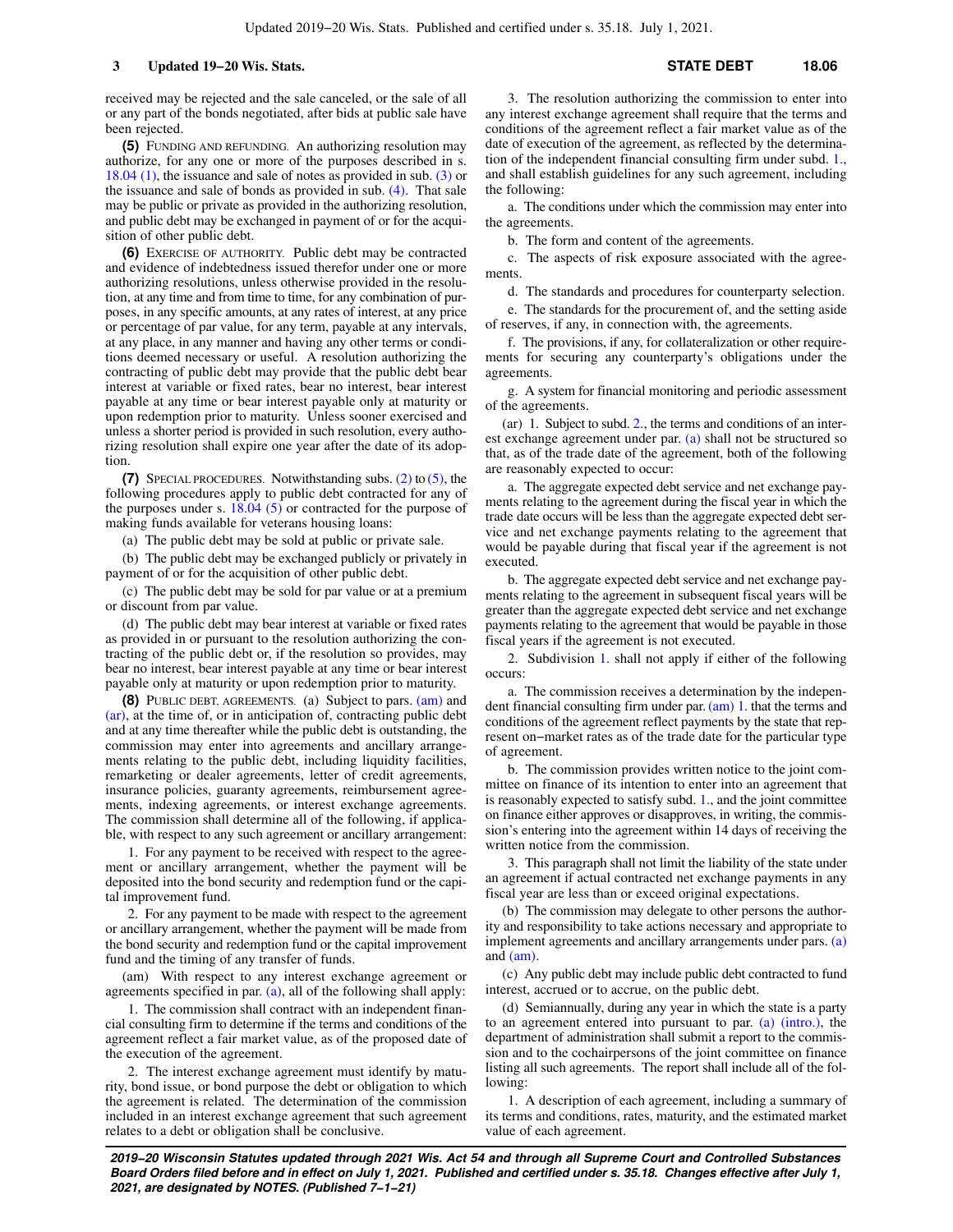received may be rejected and the sale canceled, or the sale of all or any part of the bonds negotiated, after bids at public sale have been rejected.

**(5)** FUNDING AND REFUNDING. An authorizing resolution may authorize, for any one or more of the purposes described in s. [18.04 \(1\),](https://docs-preview.legis.wisconsin.gov/document/statutes/18.04(1)) the issuance and sale of notes as provided in sub. [\(3\)](https://docs-preview.legis.wisconsin.gov/document/statutes/18.06(3)) or the issuance and sale of bonds as provided in sub. [\(4\)](https://docs-preview.legis.wisconsin.gov/document/statutes/18.06(4)). That sale may be public or private as provided in the authorizing resolution, and public debt may be exchanged in payment of or for the acquisition of other public debt.

**(6)** EXERCISE OF AUTHORITY. Public debt may be contracted and evidence of indebtedness issued therefor under one or more authorizing resolutions, unless otherwise provided in the resolution, at any time and from time to time, for any combination of purposes, in any specific amounts, at any rates of interest, at any price or percentage of par value, for any term, payable at any intervals, at any place, in any manner and having any other terms or conditions deemed necessary or useful. A resolution authorizing the contracting of public debt may provide that the public debt bear interest at variable or fixed rates, bear no interest, bear interest payable at any time or bear interest payable only at maturity or upon redemption prior to maturity. Unless sooner exercised and unless a shorter period is provided in such resolution, every authorizing resolution shall expire one year after the date of its adoption.

**(7)** SPECIAL PROCEDURES. Notwithstanding subs. [\(2\)](https://docs-preview.legis.wisconsin.gov/document/statutes/18.06(2)) to [\(5\)](https://docs-preview.legis.wisconsin.gov/document/statutes/18.06(5)), the following procedures apply to public debt contracted for any of the purposes under s. [18.04 \(5\)](https://docs-preview.legis.wisconsin.gov/document/statutes/18.04(5)) or contracted for the purpose of making funds available for veterans housing loans:

(a) The public debt may be sold at public or private sale.

(b) The public debt may be exchanged publicly or privately in payment of or for the acquisition of other public debt.

(c) The public debt may be sold for par value or at a premium or discount from par value.

(d) The public debt may bear interest at variable or fixed rates as provided in or pursuant to the resolution authorizing the contracting of the public debt or, if the resolution so provides, may bear no interest, bear interest payable at any time or bear interest payable only at maturity or upon redemption prior to maturity.

**(8)** PUBLIC DEBT, AGREEMENTS. (a) Subject to pars. [\(am\)](https://docs-preview.legis.wisconsin.gov/document/statutes/18.06(8)(am)) and [\(ar\),](https://docs-preview.legis.wisconsin.gov/document/statutes/18.06(8)(ar)) at the time of, or in anticipation of, contracting public debt and at any time thereafter while the public debt is outstanding, the commission may enter into agreements and ancillary arrangements relating to the public debt, including liquidity facilities, remarketing or dealer agreements, letter of credit agreements, insurance policies, guaranty agreements, reimbursement agreements, indexing agreements, or interest exchange agreements. The commission shall determine all of the following, if applicable, with respect to any such agreement or ancillary arrangement:

1. For any payment to be received with respect to the agreement or ancillary arrangement, whether the payment will be deposited into the bond security and redemption fund or the capital improvement fund.

2. For any payment to be made with respect to the agreement or ancillary arrangement, whether the payment will be made from the bond security and redemption fund or the capital improvement fund and the timing of any transfer of funds.

(am) With respect to any interest exchange agreement or agreements specified in par. [\(a\)](https://docs-preview.legis.wisconsin.gov/document/statutes/18.06(8)(a)), all of the following shall apply:

1. The commission shall contract with an independent financial consulting firm to determine if the terms and conditions of the agreement reflect a fair market value, as of the proposed date of the execution of the agreement.

2. The interest exchange agreement must identify by maturity, bond issue, or bond purpose the debt or obligation to which the agreement is related. The determination of the commission included in an interest exchange agreement that such agreement relates to a debt or obligation shall be conclusive.

3. The resolution authorizing the commission to enter into any interest exchange agreement shall require that the terms and conditions of the agreement reflect a fair market value as of the date of execution of the agreement, as reflected by the determination of the independent financial consulting firm under subd. [1.,](https://docs-preview.legis.wisconsin.gov/document/statutes/18.06(8)(am)1.) and shall establish guidelines for any such agreement, including the following:

a. The conditions under which the commission may enter into the agreements.

b. The form and content of the agreements.

c. The aspects of risk exposure associated with the agreements.

d. The standards and procedures for counterparty selection.

e. The standards for the procurement of, and the setting aside of reserves, if any, in connection with, the agreements.

f. The provisions, if any, for collateralization or other requirements for securing any counterparty's obligations under the agreements.

g. A system for financial monitoring and periodic assessment of the agreements.

(ar) 1. Subject to subd. [2.,](https://docs-preview.legis.wisconsin.gov/document/statutes/18.06(8)(ar)2.) the terms and conditions of an interest exchange agreement under par. [\(a\)](https://docs-preview.legis.wisconsin.gov/document/statutes/18.06(8)(a)) shall not be structured so that, as of the trade date of the agreement, both of the following are reasonably expected to occur:

a. The aggregate expected debt service and net exchange payments relating to the agreement during the fiscal year in which the trade date occurs will be less than the aggregate expected debt service and net exchange payments relating to the agreement that would be payable during that fiscal year if the agreement is not executed.

b. The aggregate expected debt service and net exchange payments relating to the agreement in subsequent fiscal years will be greater than the aggregate expected debt service and net exchange payments relating to the agreement that would be payable in those fiscal years if the agreement is not executed.

2. Subdivision [1.](https://docs-preview.legis.wisconsin.gov/document/statutes/18.06(8)(ar)1.) shall not apply if either of the following occurs:

a. The commission receives a determination by the independent financial consulting firm under par. [\(am\) 1.](https://docs-preview.legis.wisconsin.gov/document/statutes/18.06(8)(am)1.) that the terms and conditions of the agreement reflect payments by the state that represent on−market rates as of the trade date for the particular type of agreement.

b. The commission provides written notice to the joint committee on finance of its intention to enter into an agreement that is reasonably expected to satisfy subd. [1.](https://docs-preview.legis.wisconsin.gov/document/statutes/18.06(8)(ar)1.), and the joint committee on finance either approves or disapproves, in writing, the commission's entering into the agreement within 14 days of receiving the written notice from the commission.

3. This paragraph shall not limit the liability of the state under an agreement if actual contracted net exchange payments in any fiscal year are less than or exceed original expectations.

(b) The commission may delegate to other persons the authority and responsibility to take actions necessary and appropriate to implement agreements and ancillary arrangements under pars. [\(a\)](https://docs-preview.legis.wisconsin.gov/document/statutes/18.06(8)(a)) and [\(am\)](https://docs-preview.legis.wisconsin.gov/document/statutes/18.06(8)(am)).

(c) Any public debt may include public debt contracted to fund interest, accrued or to accrue, on the public debt.

(d) Semiannually, during any year in which the state is a party to an agreement entered into pursuant to par. [\(a\) \(intro.\)](https://docs-preview.legis.wisconsin.gov/document/statutes/18.06(8)(a)(intro.)), the department of administration shall submit a report to the commission and to the cochairpersons of the joint committee on finance listing all such agreements. The report shall include all of the following:

1. A description of each agreement, including a summary of its terms and conditions, rates, maturity, and the estimated market value of each agreement.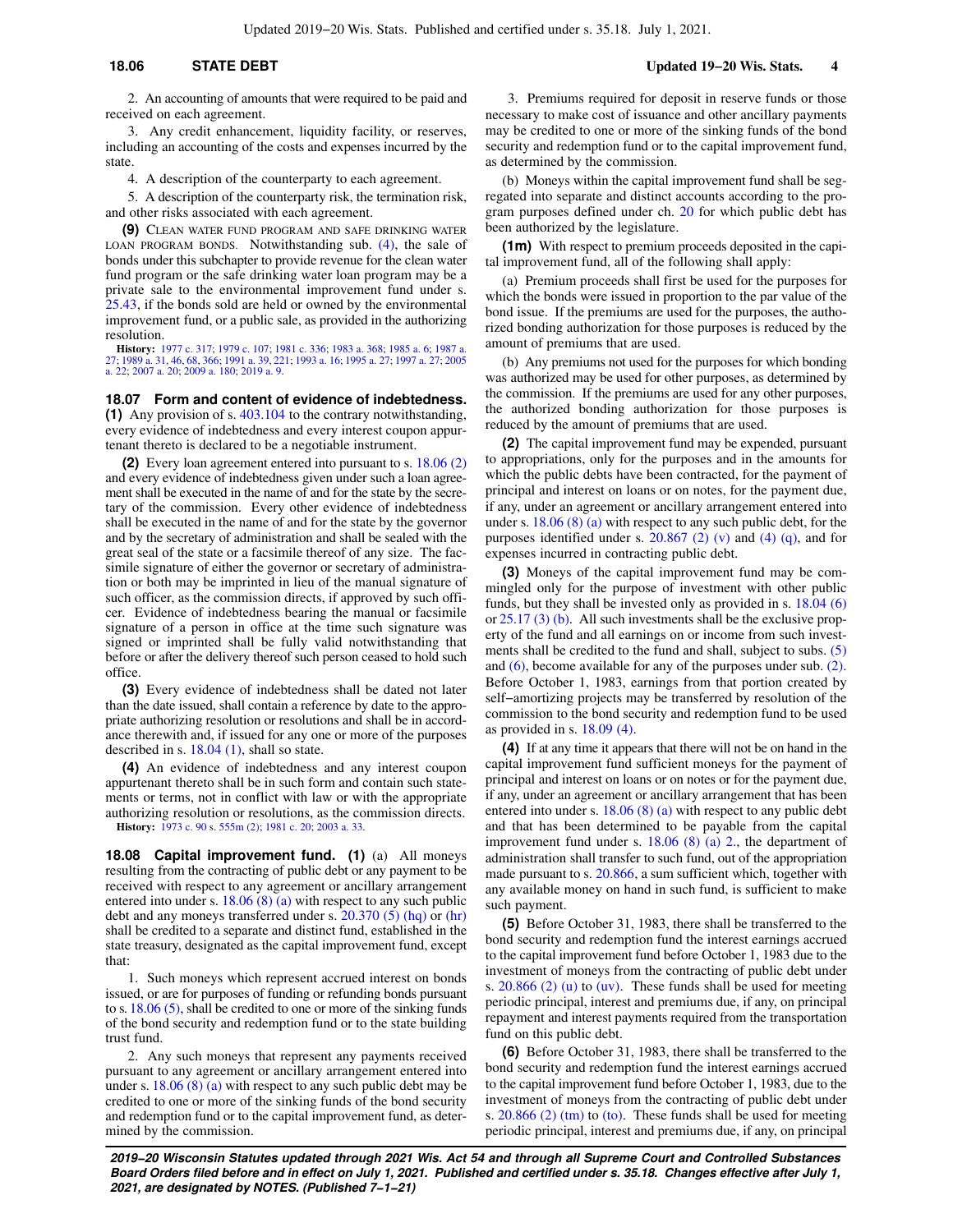2. An accounting of amounts that were required to be paid and received on each agreement.

3. Any credit enhancement, liquidity facility, or reserves, including an accounting of the costs and expenses incurred by the state.

4. A description of the counterparty to each agreement.

5. A description of the counterparty risk, the termination risk, and other risks associated with each agreement.

**(9)** CLEAN WATER FUND PROGRAM AND SAFE DRINKING WATER LOAN PROGRAM BONDS. Notwithstanding sub.  $(4)$ , the sale of bonds under this subchapter to provide revenue for the clean water fund program or the safe drinking water loan program may be a private sale to the environmental improvement fund under s. [25.43](https://docs-preview.legis.wisconsin.gov/document/statutes/25.43), if the bonds sold are held or owned by the environmental improvement fund, or a public sale, as provided in the authorizing resolution.

**History:** [1977 c. 317](https://docs-preview.legis.wisconsin.gov/document/acts/1977/317); [1979 c. 107;](https://docs-preview.legis.wisconsin.gov/document/acts/1979/107) [1981 c. 336;](https://docs-preview.legis.wisconsin.gov/document/acts/1981/336) [1983 a. 368](https://docs-preview.legis.wisconsin.gov/document/acts/1983/368); [1985 a. 6;](https://docs-preview.legis.wisconsin.gov/document/acts/1985/6) [1987 a.](https://docs-preview.legis.wisconsin.gov/document/acts/1987/27) [27;](https://docs-preview.legis.wisconsin.gov/document/acts/1987/27) [1989 a. 31,](https://docs-preview.legis.wisconsin.gov/document/acts/1989/31) [46,](https://docs-preview.legis.wisconsin.gov/document/acts/1989/46) [68](https://docs-preview.legis.wisconsin.gov/document/acts/1989/68), [366;](https://docs-preview.legis.wisconsin.gov/document/acts/1989/366) [1991 a. 39,](https://docs-preview.legis.wisconsin.gov/document/acts/1991/39) [221](https://docs-preview.legis.wisconsin.gov/document/acts/1991/221); [1993 a. 16;](https://docs-preview.legis.wisconsin.gov/document/acts/1993/16) [1995 a. 27;](https://docs-preview.legis.wisconsin.gov/document/acts/1995/27) [1997 a. 27;](https://docs-preview.legis.wisconsin.gov/document/acts/1997/27) [2005](https://docs-preview.legis.wisconsin.gov/document/acts/2005/22) [a. 22](https://docs-preview.legis.wisconsin.gov/document/acts/2005/22); [2007 a. 20;](https://docs-preview.legis.wisconsin.gov/document/acts/2007/20) [2009 a. 180](https://docs-preview.legis.wisconsin.gov/document/acts/2009/180); [2019 a. 9.](https://docs-preview.legis.wisconsin.gov/document/acts/2019/9)

#### **18.07 Form and content of evidence of indebtedness.**

**(1)** Any provision of s. [403.104](https://docs-preview.legis.wisconsin.gov/document/statutes/403.104) to the contrary notwithstanding, every evidence of indebtedness and every interest coupon appurtenant thereto is declared to be a negotiable instrument.

**(2)** Every loan agreement entered into pursuant to s. [18.06 \(2\)](https://docs-preview.legis.wisconsin.gov/document/statutes/18.06(2)) and every evidence of indebtedness given under such a loan agreement shall be executed in the name of and for the state by the secretary of the commission. Every other evidence of indebtedness shall be executed in the name of and for the state by the governor and by the secretary of administration and shall be sealed with the great seal of the state or a facsimile thereof of any size. The facsimile signature of either the governor or secretary of administration or both may be imprinted in lieu of the manual signature of such officer, as the commission directs, if approved by such officer. Evidence of indebtedness bearing the manual or facsimile signature of a person in office at the time such signature was signed or imprinted shall be fully valid notwithstanding that before or after the delivery thereof such person ceased to hold such office.

**(3)** Every evidence of indebtedness shall be dated not later than the date issued, shall contain a reference by date to the appropriate authorizing resolution or resolutions and shall be in accordance therewith and, if issued for any one or more of the purposes described in s. [18.04 \(1\)](https://docs-preview.legis.wisconsin.gov/document/statutes/18.04(1)), shall so state.

**(4)** An evidence of indebtedness and any interest coupon appurtenant thereto shall be in such form and contain such statements or terms, not in conflict with law or with the appropriate authorizing resolution or resolutions, as the commission directs. **History:** [1973 c. 90](https://docs-preview.legis.wisconsin.gov/document/acts/1973/90) s. [555m \(2\);](https://docs-preview.legis.wisconsin.gov/document/acts/1973/90,%20s.%20555m) [1981 c. 20;](https://docs-preview.legis.wisconsin.gov/document/acts/1981/20) [2003 a. 33](https://docs-preview.legis.wisconsin.gov/document/acts/2003/33).

**18.08 Capital improvement fund. (1)** (a) All moneys resulting from the contracting of public debt or any payment to be received with respect to any agreement or ancillary arrangement entered into under s.  $18.06(8)(a)$  with respect to any such public debt and any moneys transferred under s. [20.370 \(5\) \(hq\)](https://docs-preview.legis.wisconsin.gov/document/statutes/20.370(5)(hq)) or [\(hr\)](https://docs-preview.legis.wisconsin.gov/document/statutes/20.370(5)(hr)) shall be credited to a separate and distinct fund, established in the state treasury, designated as the capital improvement fund, except that:

1. Such moneys which represent accrued interest on bonds issued, or are for purposes of funding or refunding bonds pursuant to s. [18.06 \(5\),](https://docs-preview.legis.wisconsin.gov/document/statutes/18.06(5)) shall be credited to one or more of the sinking funds of the bond security and redemption fund or to the state building trust fund.

2. Any such moneys that represent any payments received pursuant to any agreement or ancillary arrangement entered into under s. [18.06 \(8\) \(a\)](https://docs-preview.legis.wisconsin.gov/document/statutes/18.06(8)(a)) with respect to any such public debt may be credited to one or more of the sinking funds of the bond security and redemption fund or to the capital improvement fund, as determined by the commission.

3. Premiums required for deposit in reserve funds or those necessary to make cost of issuance and other ancillary payments may be credited to one or more of the sinking funds of the bond security and redemption fund or to the capital improvement fund, as determined by the commission.

(b) Moneys within the capital improvement fund shall be segregated into separate and distinct accounts according to the program purposes defined under ch. [20](https://docs-preview.legis.wisconsin.gov/document/statutes/ch.%2020) for which public debt has been authorized by the legislature.

**(1m)** With respect to premium proceeds deposited in the capital improvement fund, all of the following shall apply:

(a) Premium proceeds shall first be used for the purposes for which the bonds were issued in proportion to the par value of the bond issue. If the premiums are used for the purposes, the authorized bonding authorization for those purposes is reduced by the amount of premiums that are used.

(b) Any premiums not used for the purposes for which bonding was authorized may be used for other purposes, as determined by the commission. If the premiums are used for any other purposes, the authorized bonding authorization for those purposes is reduced by the amount of premiums that are used.

**(2)** The capital improvement fund may be expended, pursuant to appropriations, only for the purposes and in the amounts for which the public debts have been contracted, for the payment of principal and interest on loans or on notes, for the payment due, if any, under an agreement or ancillary arrangement entered into under s. [18.06 \(8\) \(a\)](https://docs-preview.legis.wisconsin.gov/document/statutes/18.06(8)(a)) with respect to any such public debt, for the purposes identified under s.  $20.867$  (2) (v) and [\(4\) \(q\)](https://docs-preview.legis.wisconsin.gov/document/statutes/20.867(4)(q)), and for expenses incurred in contracting public debt.

**(3)** Moneys of the capital improvement fund may be commingled only for the purpose of investment with other public funds, but they shall be invested only as provided in s. [18.04 \(6\)](https://docs-preview.legis.wisconsin.gov/document/statutes/18.04(6)) or [25.17 \(3\) \(b\).](https://docs-preview.legis.wisconsin.gov/document/statutes/25.17(3)(b)) All such investments shall be the exclusive property of the fund and all earnings on or income from such investments shall be credited to the fund and shall, subject to subs. [\(5\)](https://docs-preview.legis.wisconsin.gov/document/statutes/18.08(5)) and [\(6\),](https://docs-preview.legis.wisconsin.gov/document/statutes/18.08(6)) become available for any of the purposes under sub. [\(2\).](https://docs-preview.legis.wisconsin.gov/document/statutes/18.08(2)) Before October 1, 1983, earnings from that portion created by self−amortizing projects may be transferred by resolution of the commission to the bond security and redemption fund to be used as provided in s. [18.09 \(4\).](https://docs-preview.legis.wisconsin.gov/document/statutes/18.09(4))

**(4)** If at any time it appears that there will not be on hand in the capital improvement fund sufficient moneys for the payment of principal and interest on loans or on notes or for the payment due, if any, under an agreement or ancillary arrangement that has been entered into under s. [18.06 \(8\) \(a\)](https://docs-preview.legis.wisconsin.gov/document/statutes/18.06(8)(a)) with respect to any public debt and that has been determined to be payable from the capital improvement fund under s. [18.06 \(8\) \(a\) 2.](https://docs-preview.legis.wisconsin.gov/document/statutes/18.06(8)(a)2.), the department of administration shall transfer to such fund, out of the appropriation made pursuant to s. [20.866,](https://docs-preview.legis.wisconsin.gov/document/statutes/20.866) a sum sufficient which, together with any available money on hand in such fund, is sufficient to make such payment.

**(5)** Before October 31, 1983, there shall be transferred to the bond security and redemption fund the interest earnings accrued to the capital improvement fund before October 1, 1983 due to the investment of moneys from the contracting of public debt under s. [20.866 \(2\) \(u\)](https://docs-preview.legis.wisconsin.gov/document/statutes/20.866(2)(u)) to [\(uv\)](https://docs-preview.legis.wisconsin.gov/document/statutes/20.866(2)(uv)). These funds shall be used for meeting periodic principal, interest and premiums due, if any, on principal repayment and interest payments required from the transportation fund on this public debt.

**(6)** Before October 31, 1983, there shall be transferred to the bond security and redemption fund the interest earnings accrued to the capital improvement fund before October 1, 1983, due to the investment of moneys from the contracting of public debt under s. [20.866 \(2\) \(tm\)](https://docs-preview.legis.wisconsin.gov/document/statutes/20.866(2)(tm)) to [\(to\)](https://docs-preview.legis.wisconsin.gov/document/statutes/20.866(2)(to)). These funds shall be used for meeting periodic principal, interest and premiums due, if any, on principal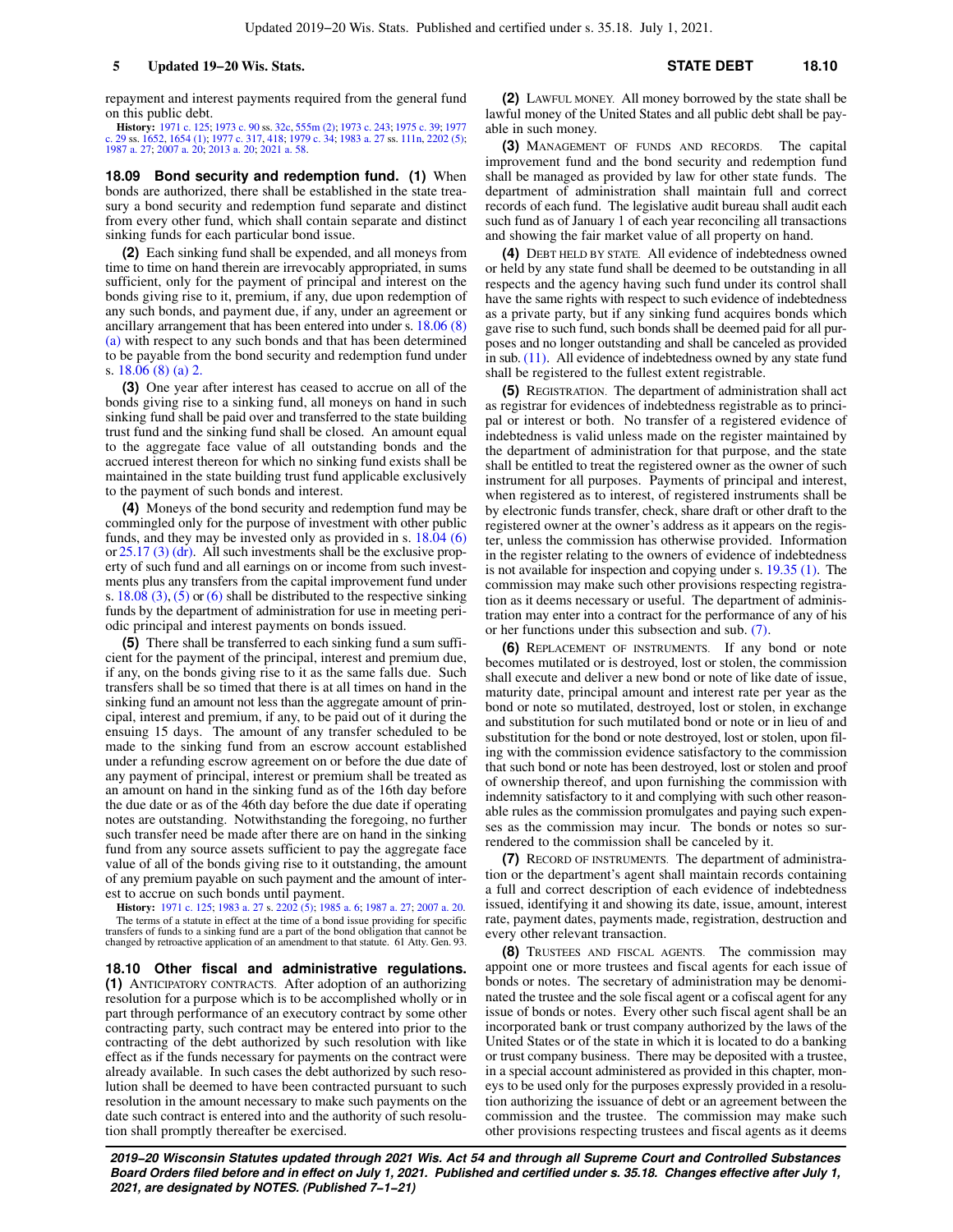repayment and interest payments required from the general fund on this public debt.

**History:** [1971 c. 125;](https://docs-preview.legis.wisconsin.gov/document/acts/1971/125) [1973 c. 90](https://docs-preview.legis.wisconsin.gov/document/acts/1973/90) ss. [32c,](https://docs-preview.legis.wisconsin.gov/document/acts/1973/90,%20s.%2032c) [555m \(2\)](https://docs-preview.legis.wisconsin.gov/document/acts/1973/90,%20s.%20555m); [1973 c. 243;](https://docs-preview.legis.wisconsin.gov/document/acts/1973/243) [1975 c. 39;](https://docs-preview.legis.wisconsin.gov/document/acts/1975/39) [1977](https://docs-preview.legis.wisconsin.gov/document/acts/1977/29)<br>[c. 29](https://docs-preview.legis.wisconsin.gov/document/acts/1977/29) ss. [1652,](https://docs-preview.legis.wisconsin.gov/document/acts/1977/29,%20s.%201652) [1654 \(1\);](https://docs-preview.legis.wisconsin.gov/document/acts/1977/29,%20s.%201654) [1977 c. 317,](https://docs-preview.legis.wisconsin.gov/document/acts/1977/317) [418](https://docs-preview.legis.wisconsin.gov/document/acts/1977/418); [1979 c. 34;](https://docs-preview.legis.wisconsin.gov/document/acts/1979/34) [1983 a. 27](https://docs-preview.legis.wisconsin.gov/document/acts/1983/27) ss. [111n](https://docs-preview.legis.wisconsin.gov/document/acts/1983/27,%20s.%20111n), [2202 \(5\)](https://docs-preview.legis.wisconsin.gov/document/acts/1983/27,%20s.%202202);<br>[1987 a. 27](https://docs-preview.legis.wisconsin.gov/document/acts/1987/27); [2007 a. 20](https://docs-preview.legis.wisconsin.gov/document/acts/2007/20); [2013 a. 20;](https://docs-preview.legis.wisconsin.gov/document/acts/2013/20) [2021 a. 58.](https://docs-preview.legis.wisconsin.gov/document/acts/2021/58)

**18.09 Bond security and redemption fund. (1)** When bonds are authorized, there shall be established in the state treasury a bond security and redemption fund separate and distinct from every other fund, which shall contain separate and distinct sinking funds for each particular bond issue.

**(2)** Each sinking fund shall be expended, and all moneys from time to time on hand therein are irrevocably appropriated, in sums sufficient, only for the payment of principal and interest on the bonds giving rise to it, premium, if any, due upon redemption of any such bonds, and payment due, if any, under an agreement or ancillary arrangement that has been entered into under s. [18.06 \(8\)](https://docs-preview.legis.wisconsin.gov/document/statutes/18.06(8)(a)) [\(a\)](https://docs-preview.legis.wisconsin.gov/document/statutes/18.06(8)(a)) with respect to any such bonds and that has been determined to be payable from the bond security and redemption fund under s. [18.06 \(8\) \(a\) 2.](https://docs-preview.legis.wisconsin.gov/document/statutes/18.06(8)(a)2.)

**(3)** One year after interest has ceased to accrue on all of the bonds giving rise to a sinking fund, all moneys on hand in such sinking fund shall be paid over and transferred to the state building trust fund and the sinking fund shall be closed. An amount equal to the aggregate face value of all outstanding bonds and the accrued interest thereon for which no sinking fund exists shall be maintained in the state building trust fund applicable exclusively to the payment of such bonds and interest.

**(4)** Moneys of the bond security and redemption fund may be commingled only for the purpose of investment with other public funds, and they may be invested only as provided in s. [18.04 \(6\)](https://docs-preview.legis.wisconsin.gov/document/statutes/18.04(6)) or [25.17 \(3\) \(dr\).](https://docs-preview.legis.wisconsin.gov/document/statutes/25.17(3)(dr)) All such investments shall be the exclusive property of such fund and all earnings on or income from such investments plus any transfers from the capital improvement fund under s.  $18.08$  (3), [\(5\)](https://docs-preview.legis.wisconsin.gov/document/statutes/18.08(5)) or [\(6\)](https://docs-preview.legis.wisconsin.gov/document/statutes/18.08(6)) shall be distributed to the respective sinking funds by the department of administration for use in meeting periodic principal and interest payments on bonds issued.

**(5)** There shall be transferred to each sinking fund a sum sufficient for the payment of the principal, interest and premium due, if any, on the bonds giving rise to it as the same falls due. Such transfers shall be so timed that there is at all times on hand in the sinking fund an amount not less than the aggregate amount of principal, interest and premium, if any, to be paid out of it during the ensuing 15 days. The amount of any transfer scheduled to be made to the sinking fund from an escrow account established under a refunding escrow agreement on or before the due date of any payment of principal, interest or premium shall be treated as an amount on hand in the sinking fund as of the 16th day before the due date or as of the 46th day before the due date if operating notes are outstanding. Notwithstanding the foregoing, no further such transfer need be made after there are on hand in the sinking fund from any source assets sufficient to pay the aggregate face value of all of the bonds giving rise to it outstanding, the amount of any premium payable on such payment and the amount of interest to accrue on such bonds until payment.

**History:** [1971 c. 125](https://docs-preview.legis.wisconsin.gov/document/acts/1971/125); [1983 a. 27](https://docs-preview.legis.wisconsin.gov/document/acts/1983/27) s. [2202 \(5\)](https://docs-preview.legis.wisconsin.gov/document/acts/1983/27,%20s.%202202); [1985 a. 6](https://docs-preview.legis.wisconsin.gov/document/acts/1985/6); [1987 a. 27](https://docs-preview.legis.wisconsin.gov/document/acts/1987/27); [2007 a. 20](https://docs-preview.legis.wisconsin.gov/document/acts/2007/20). The terms of a statute in effect at the time of a bond issue providing for specific transfers of funds to a sinking fund are a part of the bond obligation that cannot be changed by retroactive application of an amendment to that statute. 61 Atty. Gen. 93.

**18.10 Other fiscal and administrative regulations. (1)** ANTICIPATORY CONTRACTS. After adoption of an authorizing resolution for a purpose which is to be accomplished wholly or in part through performance of an executory contract by some other contracting party, such contract may be entered into prior to the contracting of the debt authorized by such resolution with like effect as if the funds necessary for payments on the contract were already available. In such cases the debt authorized by such resolution shall be deemed to have been contracted pursuant to such resolution in the amount necessary to make such payments on the date such contract is entered into and the authority of such resolution shall promptly thereafter be exercised.

**(2)** LAWFUL MONEY. All money borrowed by the state shall be lawful money of the United States and all public debt shall be payable in such money.

**(3)** MANAGEMENT OF FUNDS AND RECORDS. The capital improvement fund and the bond security and redemption fund shall be managed as provided by law for other state funds. The department of administration shall maintain full and correct records of each fund. The legislative audit bureau shall audit each such fund as of January 1 of each year reconciling all transactions and showing the fair market value of all property on hand.

**(4)** DEBT HELD BY STATE. All evidence of indebtedness owned or held by any state fund shall be deemed to be outstanding in all respects and the agency having such fund under its control shall have the same rights with respect to such evidence of indebtedness as a private party, but if any sinking fund acquires bonds which gave rise to such fund, such bonds shall be deemed paid for all purposes and no longer outstanding and shall be canceled as provided in sub. [\(11\)](https://docs-preview.legis.wisconsin.gov/document/statutes/18.10(11)). All evidence of indebtedness owned by any state fund shall be registered to the fullest extent registrable.

**(5)** REGISTRATION. The department of administration shall act as registrar for evidences of indebtedness registrable as to principal or interest or both. No transfer of a registered evidence of indebtedness is valid unless made on the register maintained by the department of administration for that purpose, and the state shall be entitled to treat the registered owner as the owner of such instrument for all purposes. Payments of principal and interest, when registered as to interest, of registered instruments shall be by electronic funds transfer, check, share draft or other draft to the registered owner at the owner's address as it appears on the register, unless the commission has otherwise provided. Information in the register relating to the owners of evidence of indebtedness is not available for inspection and copying under s. [19.35 \(1\).](https://docs-preview.legis.wisconsin.gov/document/statutes/19.35(1)) The commission may make such other provisions respecting registration as it deems necessary or useful. The department of administration may enter into a contract for the performance of any of his or her functions under this subsection and sub. [\(7\)](https://docs-preview.legis.wisconsin.gov/document/statutes/18.10(7)).

**(6)** REPLACEMENT OF INSTRUMENTS. If any bond or note becomes mutilated or is destroyed, lost or stolen, the commission shall execute and deliver a new bond or note of like date of issue, maturity date, principal amount and interest rate per year as the bond or note so mutilated, destroyed, lost or stolen, in exchange and substitution for such mutilated bond or note or in lieu of and substitution for the bond or note destroyed, lost or stolen, upon filing with the commission evidence satisfactory to the commission that such bond or note has been destroyed, lost or stolen and proof of ownership thereof, and upon furnishing the commission with indemnity satisfactory to it and complying with such other reasonable rules as the commission promulgates and paying such expenses as the commission may incur. The bonds or notes so surrendered to the commission shall be canceled by it.

**(7)** RECORD OF INSTRUMENTS. The department of administration or the department's agent shall maintain records containing a full and correct description of each evidence of indebtedness issued, identifying it and showing its date, issue, amount, interest rate, payment dates, payments made, registration, destruction and every other relevant transaction.

**(8)** TRUSTEES AND FISCAL AGENTS. The commission may appoint one or more trustees and fiscal agents for each issue of bonds or notes. The secretary of administration may be denominated the trustee and the sole fiscal agent or a cofiscal agent for any issue of bonds or notes. Every other such fiscal agent shall be an incorporated bank or trust company authorized by the laws of the United States or of the state in which it is located to do a banking or trust company business. There may be deposited with a trustee, in a special account administered as provided in this chapter, moneys to be used only for the purposes expressly provided in a resolution authorizing the issuance of debt or an agreement between the commission and the trustee. The commission may make such other provisions respecting trustees and fiscal agents as it deems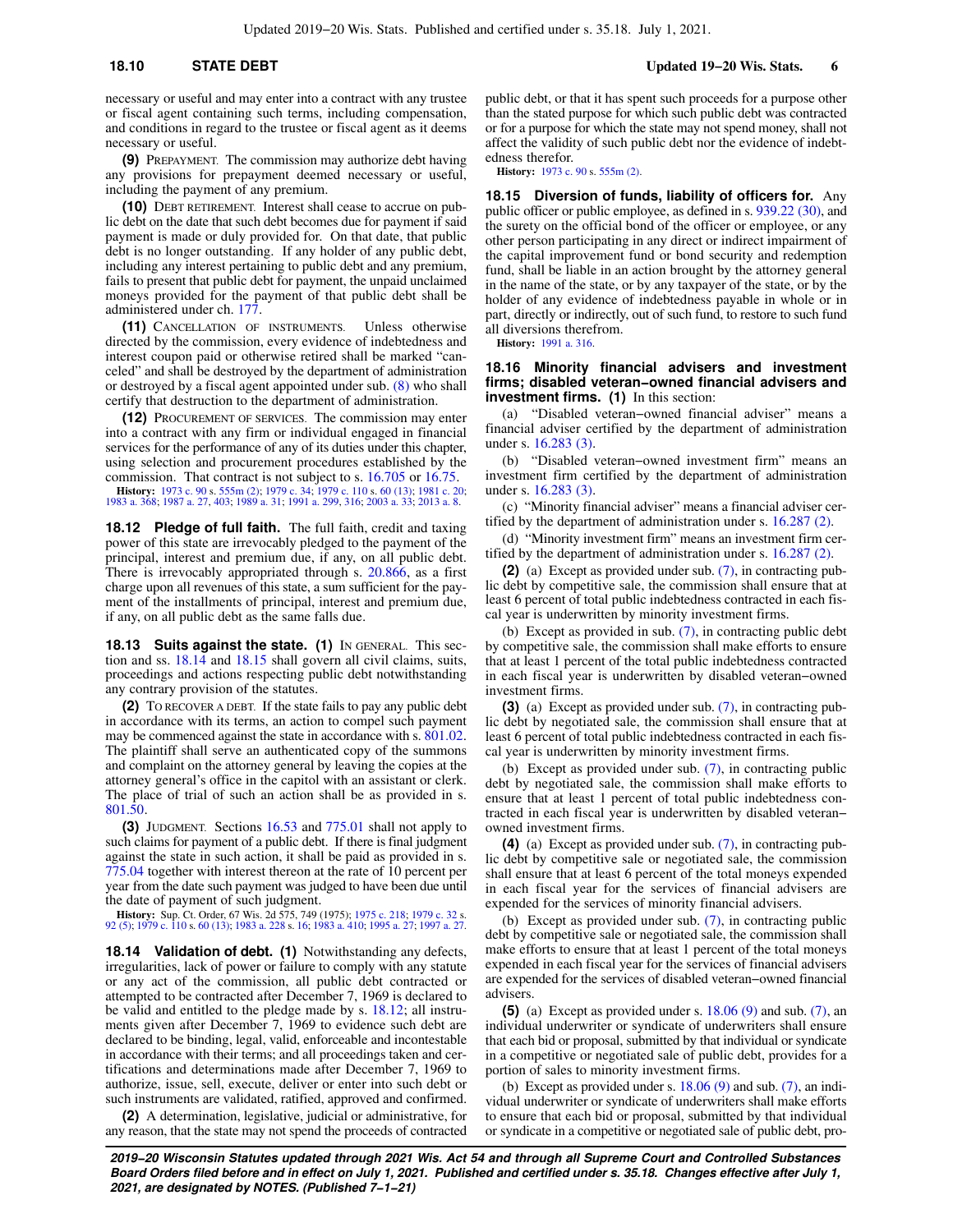**18.10 STATE DEBT Updated 19−20 Wis. Stats. 6**

necessary or useful and may enter into a contract with any trustee or fiscal agent containing such terms, including compensation, and conditions in regard to the trustee or fiscal agent as it deems necessary or useful.

**(9)** PREPAYMENT. The commission may authorize debt having any provisions for prepayment deemed necessary or useful, including the payment of any premium.

**(10)** DEBT RETIREMENT. Interest shall cease to accrue on public debt on the date that such debt becomes due for payment if said payment is made or duly provided for. On that date, that public debt is no longer outstanding. If any holder of any public debt, including any interest pertaining to public debt and any premium, fails to present that public debt for payment, the unpaid unclaimed moneys provided for the payment of that public debt shall be administered under ch. [177](https://docs-preview.legis.wisconsin.gov/document/statutes/ch.%20177).

**(11)** CANCELLATION OF INSTRUMENTS. Unless otherwise directed by the commission, every evidence of indebtedness and interest coupon paid or otherwise retired shall be marked "canceled" and shall be destroyed by the department of administration or destroyed by a fiscal agent appointed under sub. [\(8\)](https://docs-preview.legis.wisconsin.gov/document/statutes/18.10(8)) who shall certify that destruction to the department of administration.

**(12)** PROCUREMENT OF SERVICES. The commission may enter into a contract with any firm or individual engaged in financial services for the performance of any of its duties under this chapter, using selection and procurement procedures established by the commission. That contract is not subject to s. [16.705](https://docs-preview.legis.wisconsin.gov/document/statutes/16.705) or [16.75](https://docs-preview.legis.wisconsin.gov/document/statutes/16.75). **History:** [1973 c. 90](https://docs-preview.legis.wisconsin.gov/document/acts/1973/90) s. [555m \(2\);](https://docs-preview.legis.wisconsin.gov/document/acts/1973/90,%20s.%20555m) [1979 c. 34;](https://docs-preview.legis.wisconsin.gov/document/acts/1979/34) [1979 c. 110](https://docs-preview.legis.wisconsin.gov/document/acts/1979/110) s. [60 \(13\);](https://docs-preview.legis.wisconsin.gov/document/acts/1979/110,%20s.%2060) [1981 c. 20](https://docs-preview.legis.wisconsin.gov/document/acts/1981/20); [1983 a. 368;](https://docs-preview.legis.wisconsin.gov/document/acts/1983/368) [1987 a. 27,](https://docs-preview.legis.wisconsin.gov/document/acts/1987/27) [403;](https://docs-preview.legis.wisconsin.gov/document/acts/1987/403) [1989 a. 31](https://docs-preview.legis.wisconsin.gov/document/acts/1989/31); [1991 a. 299,](https://docs-preview.legis.wisconsin.gov/document/acts/1991/299) [316;](https://docs-preview.legis.wisconsin.gov/document/acts/1991/316) [2003 a. 33](https://docs-preview.legis.wisconsin.gov/document/acts/2003/33); [2013 a. 8.](https://docs-preview.legis.wisconsin.gov/document/acts/2013/8)

**18.12 Pledge of full faith.** The full faith, credit and taxing power of this state are irrevocably pledged to the payment of the principal, interest and premium due, if any, on all public debt. There is irrevocably appropriated through s. [20.866](https://docs-preview.legis.wisconsin.gov/document/statutes/20.866), as a first charge upon all revenues of this state, a sum sufficient for the payment of the installments of principal, interest and premium due, if any, on all public debt as the same falls due.

**18.13 Suits against the state. (1)** IN GENERAL. This section and ss. [18.14](https://docs-preview.legis.wisconsin.gov/document/statutes/18.14) and [18.15](https://docs-preview.legis.wisconsin.gov/document/statutes/18.15) shall govern all civil claims, suits, proceedings and actions respecting public debt notwithstanding any contrary provision of the statutes.

**(2)** TO RECOVER A DEBT. If the state fails to pay any public debt in accordance with its terms, an action to compel such payment may be commenced against the state in accordance with s. [801.02.](https://docs-preview.legis.wisconsin.gov/document/statutes/801.02) The plaintiff shall serve an authenticated copy of the summons and complaint on the attorney general by leaving the copies at the attorney general's office in the capitol with an assistant or clerk. The place of trial of such an action shall be as provided in s. [801.50.](https://docs-preview.legis.wisconsin.gov/document/statutes/801.50)

**(3)** JUDGMENT. Sections [16.53](https://docs-preview.legis.wisconsin.gov/document/statutes/16.53) and [775.01](https://docs-preview.legis.wisconsin.gov/document/statutes/775.01) shall not apply to such claims for payment of a public debt. If there is final judgment against the state in such action, it shall be paid as provided in s. [775.04](https://docs-preview.legis.wisconsin.gov/document/statutes/775.04) together with interest thereon at the rate of 10 percent per year from the date such payment was judged to have been due until the date of payment of such judgment.

**History:** Sup. Ct. Order, 67 Wis. 2d 575, 749 (1975); [1975 c. 218;](https://docs-preview.legis.wisconsin.gov/document/acts/1975/218) [1979 c. 32](https://docs-preview.legis.wisconsin.gov/document/acts/1979/32) s. [92 \(5\)](https://docs-preview.legis.wisconsin.gov/document/acts/1979/32,%20s.%2092); [1979 c. 110](https://docs-preview.legis.wisconsin.gov/document/acts/1979/110) s. [60 \(13\);](https://docs-preview.legis.wisconsin.gov/document/acts/1979/110,%20s.%2060) [1983 a. 228](https://docs-preview.legis.wisconsin.gov/document/acts/1983/228) s. [16;](https://docs-preview.legis.wisconsin.gov/document/acts/1983/228,%20s.%2016) [1983 a. 410;](https://docs-preview.legis.wisconsin.gov/document/acts/1983/410) [1995 a. 27](https://docs-preview.legis.wisconsin.gov/document/acts/1995/27); [1997 a. 27](https://docs-preview.legis.wisconsin.gov/document/acts/1997/27).

**18.14 Validation of debt. (1)** Notwithstanding any defects, irregularities, lack of power or failure to comply with any statute or any act of the commission, all public debt contracted or attempted to be contracted after December 7, 1969 is declared to be valid and entitled to the pledge made by s. [18.12](https://docs-preview.legis.wisconsin.gov/document/statutes/18.12); all instruments given after December 7, 1969 to evidence such debt are declared to be binding, legal, valid, enforceable and incontestable in accordance with their terms; and all proceedings taken and certifications and determinations made after December 7, 1969 to authorize, issue, sell, execute, deliver or enter into such debt or such instruments are validated, ratified, approved and confirmed.

**(2)** A determination, legislative, judicial or administrative, for any reason, that the state may not spend the proceeds of contracted public debt, or that it has spent such proceeds for a purpose other than the stated purpose for which such public debt was contracted or for a purpose for which the state may not spend money, shall not affect the validity of such public debt nor the evidence of indebtedness therefor.

**History:** [1973 c. 90](https://docs-preview.legis.wisconsin.gov/document/acts/1973/90) s. [555m \(2\).](https://docs-preview.legis.wisconsin.gov/document/acts/1973/90,%20s.%20555m)

**18.15 Diversion of funds, liability of officers for.** Any public officer or public employee, as defined in s. [939.22 \(30\),](https://docs-preview.legis.wisconsin.gov/document/statutes/939.22(30)) and the surety on the official bond of the officer or employee, or any other person participating in any direct or indirect impairment of the capital improvement fund or bond security and redemption fund, shall be liable in an action brought by the attorney general in the name of the state, or by any taxpayer of the state, or by the holder of any evidence of indebtedness payable in whole or in part, directly or indirectly, out of such fund, to restore to such fund all diversions therefrom.

**History:** [1991 a. 316.](https://docs-preview.legis.wisconsin.gov/document/acts/1991/316)

### **18.16 Minority financial advisers and investment firms; disabled veteran−owned financial advisers and investment firms. (1)** In this section:

(a) "Disabled veteran−owned financial adviser" means a financial adviser certified by the department of administration under s. [16.283 \(3\).](https://docs-preview.legis.wisconsin.gov/document/statutes/16.283(3))

(b) "Disabled veteran−owned investment firm" means an investment firm certified by the department of administration under s. [16.283 \(3\).](https://docs-preview.legis.wisconsin.gov/document/statutes/16.283(3))

(c) "Minority financial adviser" means a financial adviser certified by the department of administration under s. [16.287 \(2\).](https://docs-preview.legis.wisconsin.gov/document/statutes/16.287(2))

(d) "Minority investment firm" means an investment firm certified by the department of administration under s. [16.287 \(2\).](https://docs-preview.legis.wisconsin.gov/document/statutes/16.287(2))

**(2)** (a) Except as provided under sub. [\(7\)](https://docs-preview.legis.wisconsin.gov/document/statutes/18.16(7)), in contracting public debt by competitive sale, the commission shall ensure that at least 6 percent of total public indebtedness contracted in each fiscal year is underwritten by minority investment firms.

(b) Except as provided in sub. [\(7\),](https://docs-preview.legis.wisconsin.gov/document/statutes/18.16(7)) in contracting public debt by competitive sale, the commission shall make efforts to ensure that at least 1 percent of the total public indebtedness contracted in each fiscal year is underwritten by disabled veteran−owned investment firms.

**(3)** (a) Except as provided under sub. [\(7\)](https://docs-preview.legis.wisconsin.gov/document/statutes/18.16(7)), in contracting public debt by negotiated sale, the commission shall ensure that at least 6 percent of total public indebtedness contracted in each fiscal year is underwritten by minority investment firms.

(b) Except as provided under sub. [\(7\)](https://docs-preview.legis.wisconsin.gov/document/statutes/18.16(7)), in contracting public debt by negotiated sale, the commission shall make efforts to ensure that at least 1 percent of total public indebtedness contracted in each fiscal year is underwritten by disabled veteran− owned investment firms.

**(4)** (a) Except as provided under sub. [\(7\)](https://docs-preview.legis.wisconsin.gov/document/statutes/18.16(7)), in contracting public debt by competitive sale or negotiated sale, the commission shall ensure that at least 6 percent of the total moneys expended in each fiscal year for the services of financial advisers are expended for the services of minority financial advisers.

(b) Except as provided under sub. [\(7\)](https://docs-preview.legis.wisconsin.gov/document/statutes/18.16(7)), in contracting public debt by competitive sale or negotiated sale, the commission shall make efforts to ensure that at least 1 percent of the total moneys expended in each fiscal year for the services of financial advisers are expended for the services of disabled veteran−owned financial advisers.

**(5)** (a) Except as provided under s. [18.06 \(9\)](https://docs-preview.legis.wisconsin.gov/document/statutes/18.06(9)) and sub. [\(7\)](https://docs-preview.legis.wisconsin.gov/document/statutes/18.16(7)), an individual underwriter or syndicate of underwriters shall ensure that each bid or proposal, submitted by that individual or syndicate in a competitive or negotiated sale of public debt, provides for a portion of sales to minority investment firms.

(b) Except as provided under s.  $18.06(9)$  and sub.  $(7)$ , an individual underwriter or syndicate of underwriters shall make efforts to ensure that each bid or proposal, submitted by that individual or syndicate in a competitive or negotiated sale of public debt, pro-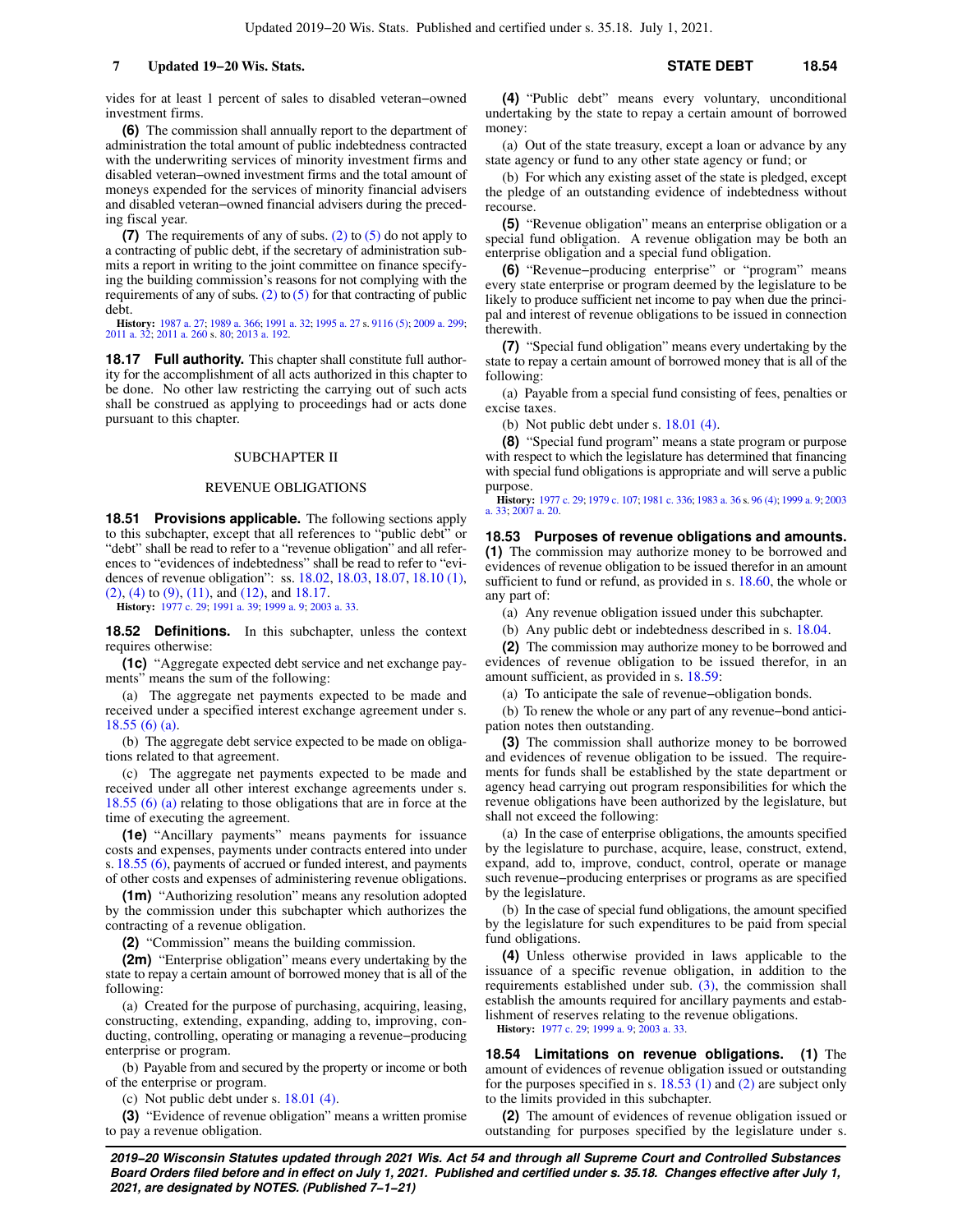**(6)** The commission shall annually report to the department of administration the total amount of public indebtedness contracted with the underwriting services of minority investment firms and disabled veteran−owned investment firms and the total amount of moneys expended for the services of minority financial advisers and disabled veteran−owned financial advisers during the preceding fiscal year.

**(7)** The requirements of any of subs. [\(2\)](https://docs-preview.legis.wisconsin.gov/document/statutes/18.16(2)) to [\(5\)](https://docs-preview.legis.wisconsin.gov/document/statutes/18.16(5)) do not apply to a contracting of public debt, if the secretary of administration submits a report in writing to the joint committee on finance specifying the building commission's reasons for not complying with the requirements of any of subs. [\(2\)](https://docs-preview.legis.wisconsin.gov/document/statutes/18.16(2)) to  $(5)$  for that contracting of public debt.

**History:** [1987 a. 27](https://docs-preview.legis.wisconsin.gov/document/acts/1987/27); [1989 a. 366](https://docs-preview.legis.wisconsin.gov/document/acts/1989/366); [1991 a. 32](https://docs-preview.legis.wisconsin.gov/document/acts/1991/32); [1995 a. 27](https://docs-preview.legis.wisconsin.gov/document/acts/1995/27) s. [9116 \(5\)](https://docs-preview.legis.wisconsin.gov/document/acts/1995/27,%20s.%209116); [2009 a. 299](https://docs-preview.legis.wisconsin.gov/document/acts/2009/299); [2011 a. 32;](https://docs-preview.legis.wisconsin.gov/document/acts/2011/32) [2011 a. 260](https://docs-preview.legis.wisconsin.gov/document/acts/2011/260) s. [80](https://docs-preview.legis.wisconsin.gov/document/acts/2011/260,%20s.%2080); [2013 a. 192](https://docs-preview.legis.wisconsin.gov/document/acts/2013/192).

**18.17 Full authority.** This chapter shall constitute full authority for the accomplishment of all acts authorized in this chapter to be done. No other law restricting the carrying out of such acts shall be construed as applying to proceedings had or acts done pursuant to this chapter.

#### SUBCHAPTER II

#### REVENUE OBLIGATIONS

**18.51 Provisions applicable.** The following sections apply to this subchapter, except that all references to "public debt" or "debt" shall be read to refer to a "revenue obligation" and all references to "evidences of indebtedness" shall be read to refer to "evidences of revenue obligation": ss. [18.02](https://docs-preview.legis.wisconsin.gov/document/statutes/18.02), [18.03,](https://docs-preview.legis.wisconsin.gov/document/statutes/18.03) [18.07,](https://docs-preview.legis.wisconsin.gov/document/statutes/18.07) [18.10 \(1\),](https://docs-preview.legis.wisconsin.gov/document/statutes/18.10(1)) [\(2\)](https://docs-preview.legis.wisconsin.gov/document/statutes/18.10(2)), [\(4\)](https://docs-preview.legis.wisconsin.gov/document/statutes/18.10(4)) to [\(9\)](https://docs-preview.legis.wisconsin.gov/document/statutes/18.10(9)), [\(11\),](https://docs-preview.legis.wisconsin.gov/document/statutes/18.10(11)) and [\(12\),](https://docs-preview.legis.wisconsin.gov/document/statutes/18.10(12)) and [18.17](https://docs-preview.legis.wisconsin.gov/document/statutes/18.17).

**History:** [1977 c. 29;](https://docs-preview.legis.wisconsin.gov/document/acts/1977/29) [1991 a. 39;](https://docs-preview.legis.wisconsin.gov/document/acts/1991/39) [1999 a. 9;](https://docs-preview.legis.wisconsin.gov/document/acts/1999/9) [2003 a. 33.](https://docs-preview.legis.wisconsin.gov/document/acts/2003/33)

**18.52 Definitions.** In this subchapter, unless the context requires otherwise:

**(1c)** "Aggregate expected debt service and net exchange payments" means the sum of the following:

(a) The aggregate net payments expected to be made and received under a specified interest exchange agreement under s. [18.55 \(6\) \(a\)](https://docs-preview.legis.wisconsin.gov/document/statutes/18.55(6)(a)).

(b) The aggregate debt service expected to be made on obligations related to that agreement.

(c) The aggregate net payments expected to be made and received under all other interest exchange agreements under s. [18.55 \(6\) \(a\)](https://docs-preview.legis.wisconsin.gov/document/statutes/18.55(6)(a)) relating to those obligations that are in force at the time of executing the agreement.

**(1e)** "Ancillary payments" means payments for issuance costs and expenses, payments under contracts entered into under s. [18.55 \(6\)](https://docs-preview.legis.wisconsin.gov/document/statutes/18.55(6)), payments of accrued or funded interest, and payments of other costs and expenses of administering revenue obligations.

**(1m)** "Authorizing resolution" means any resolution adopted by the commission under this subchapter which authorizes the contracting of a revenue obligation.

**(2)** "Commission" means the building commission.

**(2m)** "Enterprise obligation" means every undertaking by the state to repay a certain amount of borrowed money that is all of the following:

(a) Created for the purpose of purchasing, acquiring, leasing, constructing, extending, expanding, adding to, improving, conducting, controlling, operating or managing a revenue−producing enterprise or program.

(b) Payable from and secured by the property or income or both of the enterprise or program.

(c) Not public debt under s. [18.01 \(4\).](https://docs-preview.legis.wisconsin.gov/document/statutes/18.01(4))

**(3)** "Evidence of revenue obligation" means a written promise to pay a revenue obligation.

**(4)** "Public debt" means every voluntary, unconditional undertaking by the state to repay a certain amount of borrowed money:

(a) Out of the state treasury, except a loan or advance by any state agency or fund to any other state agency or fund; or

(b) For which any existing asset of the state is pledged, except the pledge of an outstanding evidence of indebtedness without recourse.

**(5)** "Revenue obligation" means an enterprise obligation or a special fund obligation. A revenue obligation may be both an enterprise obligation and a special fund obligation.

**(6)** "Revenue−producing enterprise" or "program" means every state enterprise or program deemed by the legislature to be likely to produce sufficient net income to pay when due the principal and interest of revenue obligations to be issued in connection therewith.

**(7)** "Special fund obligation" means every undertaking by the state to repay a certain amount of borrowed money that is all of the following:

(a) Payable from a special fund consisting of fees, penalties or excise taxes.

(b) Not public debt under s. [18.01 \(4\).](https://docs-preview.legis.wisconsin.gov/document/statutes/18.01(4))

**(8)** "Special fund program" means a state program or purpose with respect to which the legislature has determined that financing with special fund obligations is appropriate and will serve a public purpose.

**History:** [1977 c. 29;](https://docs-preview.legis.wisconsin.gov/document/acts/1977/29) [1979 c. 107;](https://docs-preview.legis.wisconsin.gov/document/acts/1979/107) [1981 c. 336;](https://docs-preview.legis.wisconsin.gov/document/acts/1981/336) [1983 a. 36](https://docs-preview.legis.wisconsin.gov/document/acts/1983/36) s. [96 \(4\)](https://docs-preview.legis.wisconsin.gov/document/acts/1983/36,%20s.%2096); [1999 a. 9](https://docs-preview.legis.wisconsin.gov/document/acts/1999/9); [2003](https://docs-preview.legis.wisconsin.gov/document/acts/2003/33) [a. 33;](https://docs-preview.legis.wisconsin.gov/document/acts/2003/33) [2007 a. 20.](https://docs-preview.legis.wisconsin.gov/document/acts/2007/20)

**18.53 Purposes of revenue obligations and amounts. (1)** The commission may authorize money to be borrowed and evidences of revenue obligation to be issued therefor in an amount sufficient to fund or refund, as provided in s. [18.60,](https://docs-preview.legis.wisconsin.gov/document/statutes/18.60) the whole or any part of:

(a) Any revenue obligation issued under this subchapter.

(b) Any public debt or indebtedness described in s. [18.04](https://docs-preview.legis.wisconsin.gov/document/statutes/18.04).

**(2)** The commission may authorize money to be borrowed and evidences of revenue obligation to be issued therefor, in an amount sufficient, as provided in s. [18.59:](https://docs-preview.legis.wisconsin.gov/document/statutes/18.59)

(a) To anticipate the sale of revenue−obligation bonds.

(b) To renew the whole or any part of any revenue−bond anticipation notes then outstanding.

**(3)** The commission shall authorize money to be borrowed and evidences of revenue obligation to be issued. The requirements for funds shall be established by the state department or agency head carrying out program responsibilities for which the revenue obligations have been authorized by the legislature, but shall not exceed the following:

(a) In the case of enterprise obligations, the amounts specified by the legislature to purchase, acquire, lease, construct, extend, expand, add to, improve, conduct, control, operate or manage such revenue−producing enterprises or programs as are specified by the legislature.

(b) In the case of special fund obligations, the amount specified by the legislature for such expenditures to be paid from special fund obligations.

**(4)** Unless otherwise provided in laws applicable to the issuance of a specific revenue obligation, in addition to the requirements established under sub.  $(3)$ , the commission shall establish the amounts required for ancillary payments and establishment of reserves relating to the revenue obligations.

**History:** [1977 c. 29](https://docs-preview.legis.wisconsin.gov/document/acts/1977/29); [1999 a. 9;](https://docs-preview.legis.wisconsin.gov/document/acts/1999/9) [2003 a. 33.](https://docs-preview.legis.wisconsin.gov/document/acts/2003/33)

**18.54 Limitations on revenue obligations. (1)** The amount of evidences of revenue obligation issued or outstanding for the purposes specified in s. [18.53 \(1\)](https://docs-preview.legis.wisconsin.gov/document/statutes/18.53(1)) and [\(2\)](https://docs-preview.legis.wisconsin.gov/document/statutes/18.53(2)) are subject only to the limits provided in this subchapter.

**(2)** The amount of evidences of revenue obligation issued or outstanding for purposes specified by the legislature under s.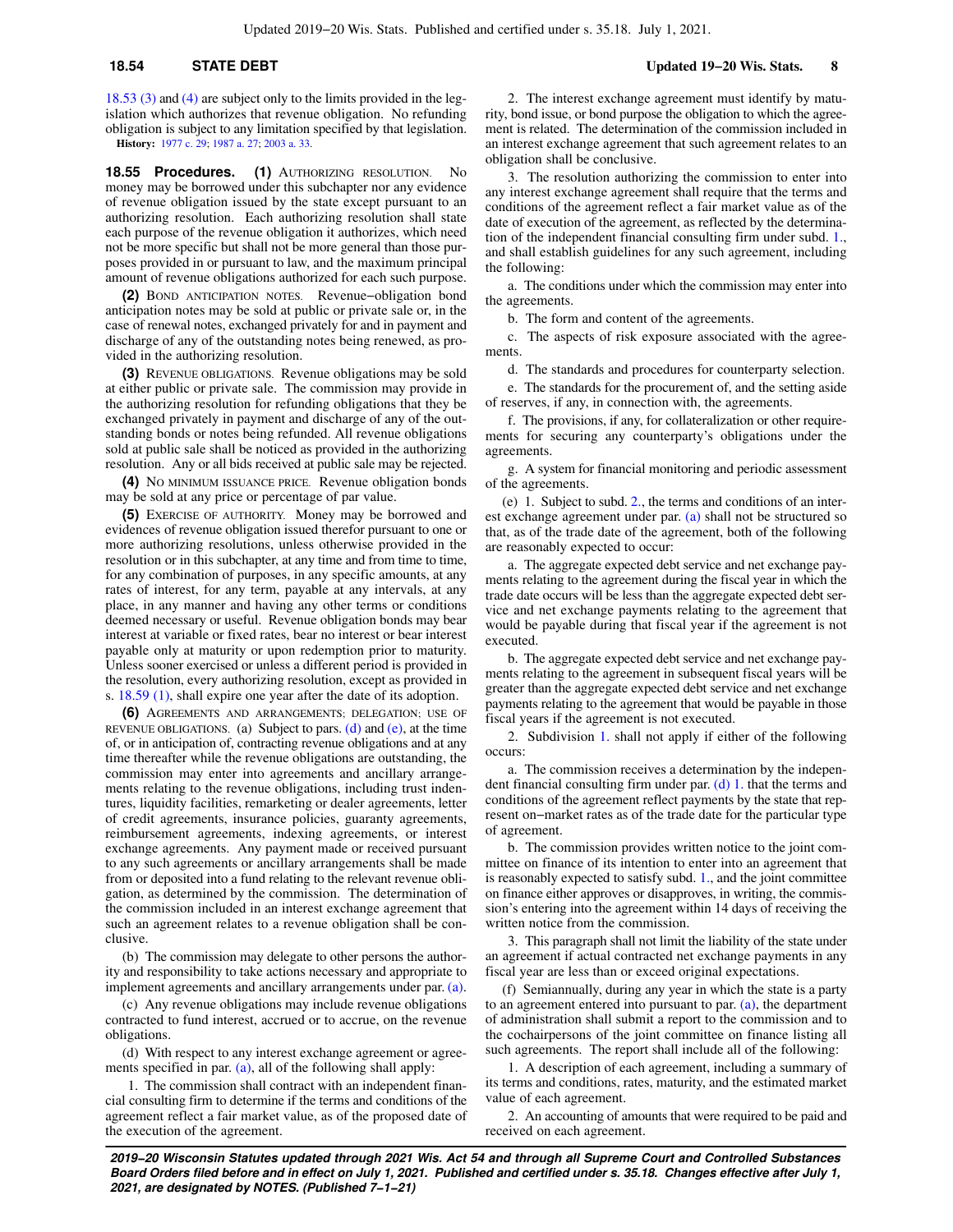## **18.54 STATE DEBT Updated 19−20 Wis. Stats. 8**

[18.53 \(3\)](https://docs-preview.legis.wisconsin.gov/document/statutes/18.53(3)) and [\(4\)](https://docs-preview.legis.wisconsin.gov/document/statutes/18.53(4)) are subject only to the limits provided in the legislation which authorizes that revenue obligation. No refunding obligation is subject to any limitation specified by that legislation. **History:** [1977 c. 29;](https://docs-preview.legis.wisconsin.gov/document/acts/1977/29) [1987 a. 27;](https://docs-preview.legis.wisconsin.gov/document/acts/1987/27) [2003 a. 33](https://docs-preview.legis.wisconsin.gov/document/acts/2003/33).

**18.55 Procedures. (1)** AUTHORIZING RESOLUTION. No money may be borrowed under this subchapter nor any evidence of revenue obligation issued by the state except pursuant to an authorizing resolution. Each authorizing resolution shall state each purpose of the revenue obligation it authorizes, which need not be more specific but shall not be more general than those purposes provided in or pursuant to law, and the maximum principal amount of revenue obligations authorized for each such purpose.

**(2)** BOND ANTICIPATION NOTES. Revenue−obligation bond anticipation notes may be sold at public or private sale or, in the case of renewal notes, exchanged privately for and in payment and discharge of any of the outstanding notes being renewed, as provided in the authorizing resolution.

**(3)** REVENUE OBLIGATIONS. Revenue obligations may be sold at either public or private sale. The commission may provide in the authorizing resolution for refunding obligations that they be exchanged privately in payment and discharge of any of the outstanding bonds or notes being refunded. All revenue obligations sold at public sale shall be noticed as provided in the authorizing resolution. Any or all bids received at public sale may be rejected.

**(4)** NO MINIMUM ISSUANCE PRICE. Revenue obligation bonds may be sold at any price or percentage of par value.

**(5)** EXERCISE OF AUTHORITY. Money may be borrowed and evidences of revenue obligation issued therefor pursuant to one or more authorizing resolutions, unless otherwise provided in the resolution or in this subchapter, at any time and from time to time, for any combination of purposes, in any specific amounts, at any rates of interest, for any term, payable at any intervals, at any place, in any manner and having any other terms or conditions deemed necessary or useful. Revenue obligation bonds may bear interest at variable or fixed rates, bear no interest or bear interest payable only at maturity or upon redemption prior to maturity. Unless sooner exercised or unless a different period is provided in the resolution, every authorizing resolution, except as provided in s. [18.59 \(1\)](https://docs-preview.legis.wisconsin.gov/document/statutes/18.59(1)), shall expire one year after the date of its adoption.

**(6)** AGREEMENTS AND ARRANGEMENTS; DELEGATION; USE OF REVENUE OBLIGATIONS. (a) Subject to pars. [\(d\)](https://docs-preview.legis.wisconsin.gov/document/statutes/18.55(6)(d)) and [\(e\),](https://docs-preview.legis.wisconsin.gov/document/statutes/18.55(6)(e)) at the time of, or in anticipation of, contracting revenue obligations and at any time thereafter while the revenue obligations are outstanding, the commission may enter into agreements and ancillary arrangements relating to the revenue obligations, including trust indentures, liquidity facilities, remarketing or dealer agreements, letter of credit agreements, insurance policies, guaranty agreements, reimbursement agreements, indexing agreements, or interest exchange agreements. Any payment made or received pursuant to any such agreements or ancillary arrangements shall be made from or deposited into a fund relating to the relevant revenue obligation, as determined by the commission. The determination of the commission included in an interest exchange agreement that such an agreement relates to a revenue obligation shall be conclusive.

(b) The commission may delegate to other persons the authority and responsibility to take actions necessary and appropriate to implement agreements and ancillary arrangements under par. [\(a\).](https://docs-preview.legis.wisconsin.gov/document/statutes/18.55(6)(a))

(c) Any revenue obligations may include revenue obligations contracted to fund interest, accrued or to accrue, on the revenue obligations.

(d) With respect to any interest exchange agreement or agree-ments specified in par. [\(a\)](https://docs-preview.legis.wisconsin.gov/document/statutes/18.55(6)(a)), all of the following shall apply:

1. The commission shall contract with an independent financial consulting firm to determine if the terms and conditions of the agreement reflect a fair market value, as of the proposed date of the execution of the agreement.

2. The interest exchange agreement must identify by maturity, bond issue, or bond purpose the obligation to which the agreement is related. The determination of the commission included in an interest exchange agreement that such agreement relates to an obligation shall be conclusive.

3. The resolution authorizing the commission to enter into any interest exchange agreement shall require that the terms and conditions of the agreement reflect a fair market value as of the date of execution of the agreement, as reflected by the determination of the independent financial consulting firm under subd. [1.,](https://docs-preview.legis.wisconsin.gov/document/statutes/18.55(6)(d)1.) and shall establish guidelines for any such agreement, including the following:

a. The conditions under which the commission may enter into the agreements.

b. The form and content of the agreements.

c. The aspects of risk exposure associated with the agreements.

d. The standards and procedures for counterparty selection.

e. The standards for the procurement of, and the setting aside of reserves, if any, in connection with, the agreements.

f. The provisions, if any, for collateralization or other requirements for securing any counterparty's obligations under the agreements.

g. A system for financial monitoring and periodic assessment of the agreements.

(e) 1. Subject to subd. [2.](https://docs-preview.legis.wisconsin.gov/document/statutes/18.55(6)(e)2.), the terms and conditions of an interest exchange agreement under par. [\(a\)](https://docs-preview.legis.wisconsin.gov/document/statutes/18.55(6)(a)) shall not be structured so that, as of the trade date of the agreement, both of the following are reasonably expected to occur:

a. The aggregate expected debt service and net exchange payments relating to the agreement during the fiscal year in which the trade date occurs will be less than the aggregate expected debt service and net exchange payments relating to the agreement that would be payable during that fiscal year if the agreement is not executed.

b. The aggregate expected debt service and net exchange payments relating to the agreement in subsequent fiscal years will be greater than the aggregate expected debt service and net exchange payments relating to the agreement that would be payable in those fiscal years if the agreement is not executed.

2. Subdivision [1.](https://docs-preview.legis.wisconsin.gov/document/statutes/18.55(6)(e)1.) shall not apply if either of the following occurs:

a. The commission receives a determination by the independent financial consulting firm under par.  $(d)$  1. that the terms and conditions of the agreement reflect payments by the state that represent on−market rates as of the trade date for the particular type of agreement.

b. The commission provides written notice to the joint committee on finance of its intention to enter into an agreement that is reasonably expected to satisfy subd. [1.](https://docs-preview.legis.wisconsin.gov/document/statutes/18.55(6)(e)1.), and the joint committee on finance either approves or disapproves, in writing, the commission's entering into the agreement within 14 days of receiving the written notice from the commission.

3. This paragraph shall not limit the liability of the state under an agreement if actual contracted net exchange payments in any fiscal year are less than or exceed original expectations.

(f) Semiannually, during any year in which the state is a party to an agreement entered into pursuant to par.  $(a)$ , the department of administration shall submit a report to the commission and to the cochairpersons of the joint committee on finance listing all such agreements. The report shall include all of the following:

1. A description of each agreement, including a summary of its terms and conditions, rates, maturity, and the estimated market value of each agreement.

2. An accounting of amounts that were required to be paid and received on each agreement.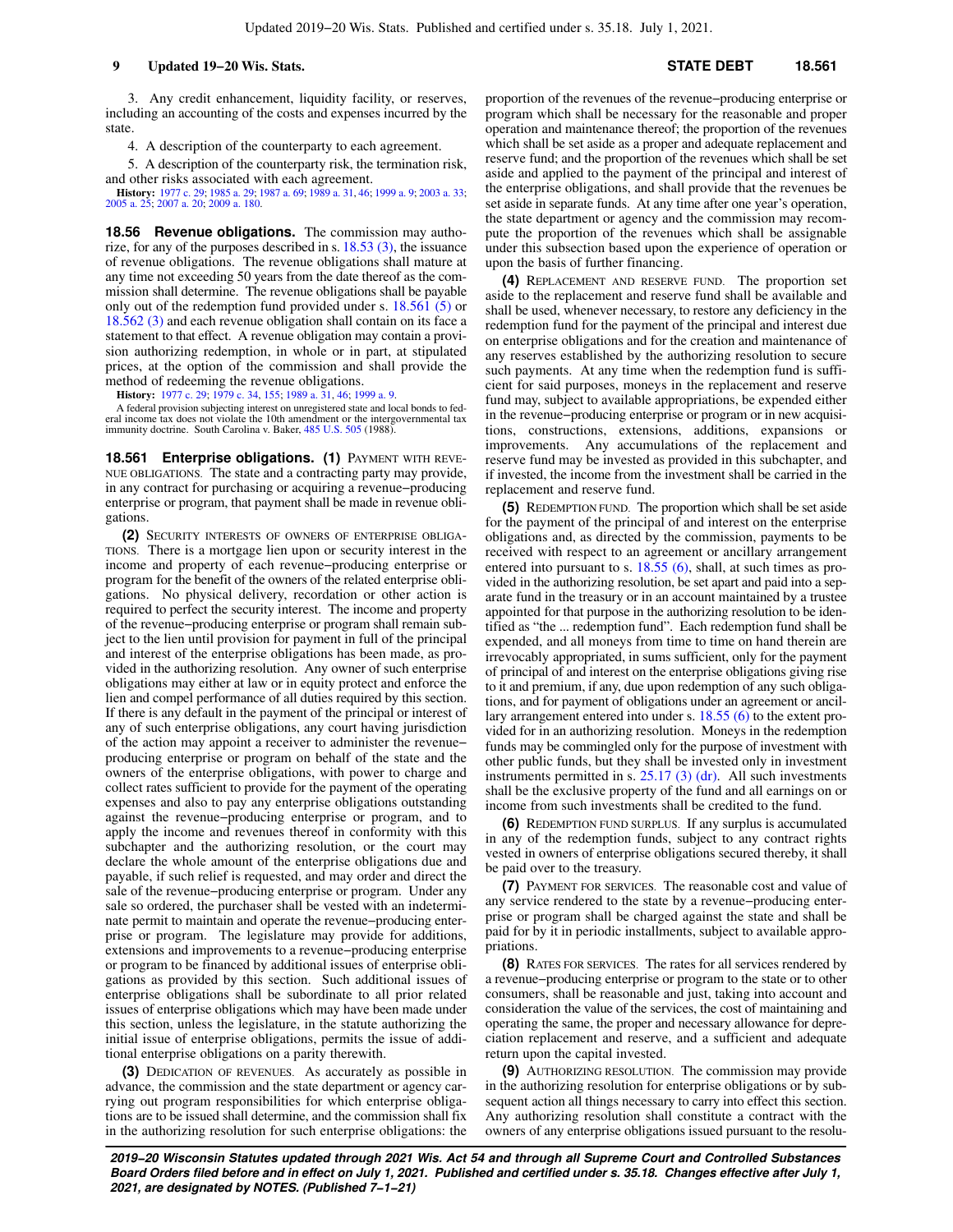3. Any credit enhancement, liquidity facility, or reserves, including an accounting of the costs and expenses incurred by the state.

4. A description of the counterparty to each agreement.

5. A description of the counterparty risk, the termination risk, and other risks associated with each agreement.

**History:** [1977 c. 29](https://docs-preview.legis.wisconsin.gov/document/acts/1977/29); [1985 a. 29](https://docs-preview.legis.wisconsin.gov/document/acts/1985/29); [1987 a. 69](https://docs-preview.legis.wisconsin.gov/document/acts/1987/69); [1989 a. 31](https://docs-preview.legis.wisconsin.gov/document/acts/1989/31), [46](https://docs-preview.legis.wisconsin.gov/document/acts/1989/46); [1999 a. 9](https://docs-preview.legis.wisconsin.gov/document/acts/1999/9); [2003 a. 33](https://docs-preview.legis.wisconsin.gov/document/acts/2003/33); [2005 a. 25](https://docs-preview.legis.wisconsin.gov/document/acts/2005/25); [2007 a. 20](https://docs-preview.legis.wisconsin.gov/document/acts/2007/20); [2009 a. 180](https://docs-preview.legis.wisconsin.gov/document/acts/2009/180).

**18.56 Revenue obligations.** The commission may authorize, for any of the purposes described in s. [18.53 \(3\),](https://docs-preview.legis.wisconsin.gov/document/statutes/18.53(3)) the issuance of revenue obligations. The revenue obligations shall mature at any time not exceeding 50 years from the date thereof as the commission shall determine. The revenue obligations shall be payable only out of the redemption fund provided under s. [18.561 \(5\)](https://docs-preview.legis.wisconsin.gov/document/statutes/18.561(5)) or [18.562 \(3\)](https://docs-preview.legis.wisconsin.gov/document/statutes/18.562(3)) and each revenue obligation shall contain on its face a statement to that effect. A revenue obligation may contain a provision authorizing redemption, in whole or in part, at stipulated prices, at the option of the commission and shall provide the method of redeeming the revenue obligations.

**History:** [1977 c. 29;](https://docs-preview.legis.wisconsin.gov/document/acts/1977/29) [1979 c. 34,](https://docs-preview.legis.wisconsin.gov/document/acts/1979/34) [155](https://docs-preview.legis.wisconsin.gov/document/acts/1979/155); [1989 a. 31](https://docs-preview.legis.wisconsin.gov/document/acts/1989/31), [46;](https://docs-preview.legis.wisconsin.gov/document/acts/1989/46) [1999 a. 9](https://docs-preview.legis.wisconsin.gov/document/acts/1999/9).

A federal provision subjecting interest on unregistered state and local bonds to fed-eral income tax does not violate the 10th amendment or the intergovernmental tax immunity doctrine. South Carolina v. Baker, [485 U.S. 505](https://docs-preview.legis.wisconsin.gov/document/courts/485%20U.S.%20505) (1988).

**18.561 Enterprise obligations. (1) PAYMENT WITH REVE-**NUE OBLIGATIONS. The state and a contracting party may provide, in any contract for purchasing or acquiring a revenue−producing enterprise or program, that payment shall be made in revenue obligations.

**(2)** SECURITY INTERESTS OF OWNERS OF ENTERPRISE OBLIGA-TIONS. There is a mortgage lien upon or security interest in the income and property of each revenue−producing enterprise or program for the benefit of the owners of the related enterprise obligations. No physical delivery, recordation or other action is required to perfect the security interest. The income and property of the revenue−producing enterprise or program shall remain subject to the lien until provision for payment in full of the principal and interest of the enterprise obligations has been made, as provided in the authorizing resolution. Any owner of such enterprise obligations may either at law or in equity protect and enforce the lien and compel performance of all duties required by this section. If there is any default in the payment of the principal or interest of any of such enterprise obligations, any court having jurisdiction of the action may appoint a receiver to administer the revenue− producing enterprise or program on behalf of the state and the owners of the enterprise obligations, with power to charge and collect rates sufficient to provide for the payment of the operating expenses and also to pay any enterprise obligations outstanding against the revenue−producing enterprise or program, and to apply the income and revenues thereof in conformity with this subchapter and the authorizing resolution, or the court may declare the whole amount of the enterprise obligations due and payable, if such relief is requested, and may order and direct the sale of the revenue−producing enterprise or program. Under any sale so ordered, the purchaser shall be vested with an indeterminate permit to maintain and operate the revenue−producing enterprise or program. The legislature may provide for additions, extensions and improvements to a revenue−producing enterprise or program to be financed by additional issues of enterprise obligations as provided by this section. Such additional issues of enterprise obligations shall be subordinate to all prior related issues of enterprise obligations which may have been made under this section, unless the legislature, in the statute authorizing the initial issue of enterprise obligations, permits the issue of additional enterprise obligations on a parity therewith.

**(3)** DEDICATION OF REVENUES. As accurately as possible in advance, the commission and the state department or agency carrying out program responsibilities for which enterprise obligations are to be issued shall determine, and the commission shall fix in the authorizing resolution for such enterprise obligations: the proportion of the revenues of the revenue−producing enterprise or program which shall be necessary for the reasonable and proper operation and maintenance thereof; the proportion of the revenues which shall be set aside as a proper and adequate replacement and reserve fund; and the proportion of the revenues which shall be set aside and applied to the payment of the principal and interest of the enterprise obligations, and shall provide that the revenues be set aside in separate funds. At any time after one year's operation, the state department or agency and the commission may recompute the proportion of the revenues which shall be assignable under this subsection based upon the experience of operation or upon the basis of further financing.

**(4)** REPLACEMENT AND RESERVE FUND. The proportion set aside to the replacement and reserve fund shall be available and shall be used, whenever necessary, to restore any deficiency in the redemption fund for the payment of the principal and interest due on enterprise obligations and for the creation and maintenance of any reserves established by the authorizing resolution to secure such payments. At any time when the redemption fund is sufficient for said purposes, moneys in the replacement and reserve fund may, subject to available appropriations, be expended either in the revenue−producing enterprise or program or in new acquisitions, constructions, extensions, additions, expansions or improvements. Any accumulations of the replacement and reserve fund may be invested as provided in this subchapter, and if invested, the income from the investment shall be carried in the replacement and reserve fund.

**(5)** REDEMPTION FUND. The proportion which shall be set aside for the payment of the principal of and interest on the enterprise obligations and, as directed by the commission, payments to be received with respect to an agreement or ancillary arrangement entered into pursuant to s. [18.55 \(6\),](https://docs-preview.legis.wisconsin.gov/document/statutes/18.55(6)) shall, at such times as provided in the authorizing resolution, be set apart and paid into a separate fund in the treasury or in an account maintained by a trustee appointed for that purpose in the authorizing resolution to be identified as "the ... redemption fund". Each redemption fund shall be expended, and all moneys from time to time on hand therein are irrevocably appropriated, in sums sufficient, only for the payment of principal of and interest on the enterprise obligations giving rise to it and premium, if any, due upon redemption of any such obligations, and for payment of obligations under an agreement or ancillary arrangement entered into under s. [18.55 \(6\)](https://docs-preview.legis.wisconsin.gov/document/statutes/18.55(6)) to the extent provided for in an authorizing resolution. Moneys in the redemption funds may be commingled only for the purpose of investment with other public funds, but they shall be invested only in investment instruments permitted in s.  $25.17$  (3) (dr). All such investments shall be the exclusive property of the fund and all earnings on or income from such investments shall be credited to the fund.

**(6)** REDEMPTION FUND SURPLUS. If any surplus is accumulated in any of the redemption funds, subject to any contract rights vested in owners of enterprise obligations secured thereby, it shall be paid over to the treasury.

**(7)** PAYMENT FOR SERVICES. The reasonable cost and value of any service rendered to the state by a revenue−producing enterprise or program shall be charged against the state and shall be paid for by it in periodic installments, subject to available appropriations.

**(8)** RATES FOR SERVICES. The rates for all services rendered by a revenue−producing enterprise or program to the state or to other consumers, shall be reasonable and just, taking into account and consideration the value of the services, the cost of maintaining and operating the same, the proper and necessary allowance for depreciation replacement and reserve, and a sufficient and adequate return upon the capital invested.

**(9)** AUTHORIZING RESOLUTION. The commission may provide in the authorizing resolution for enterprise obligations or by subsequent action all things necessary to carry into effect this section. Any authorizing resolution shall constitute a contract with the owners of any enterprise obligations issued pursuant to the resolu-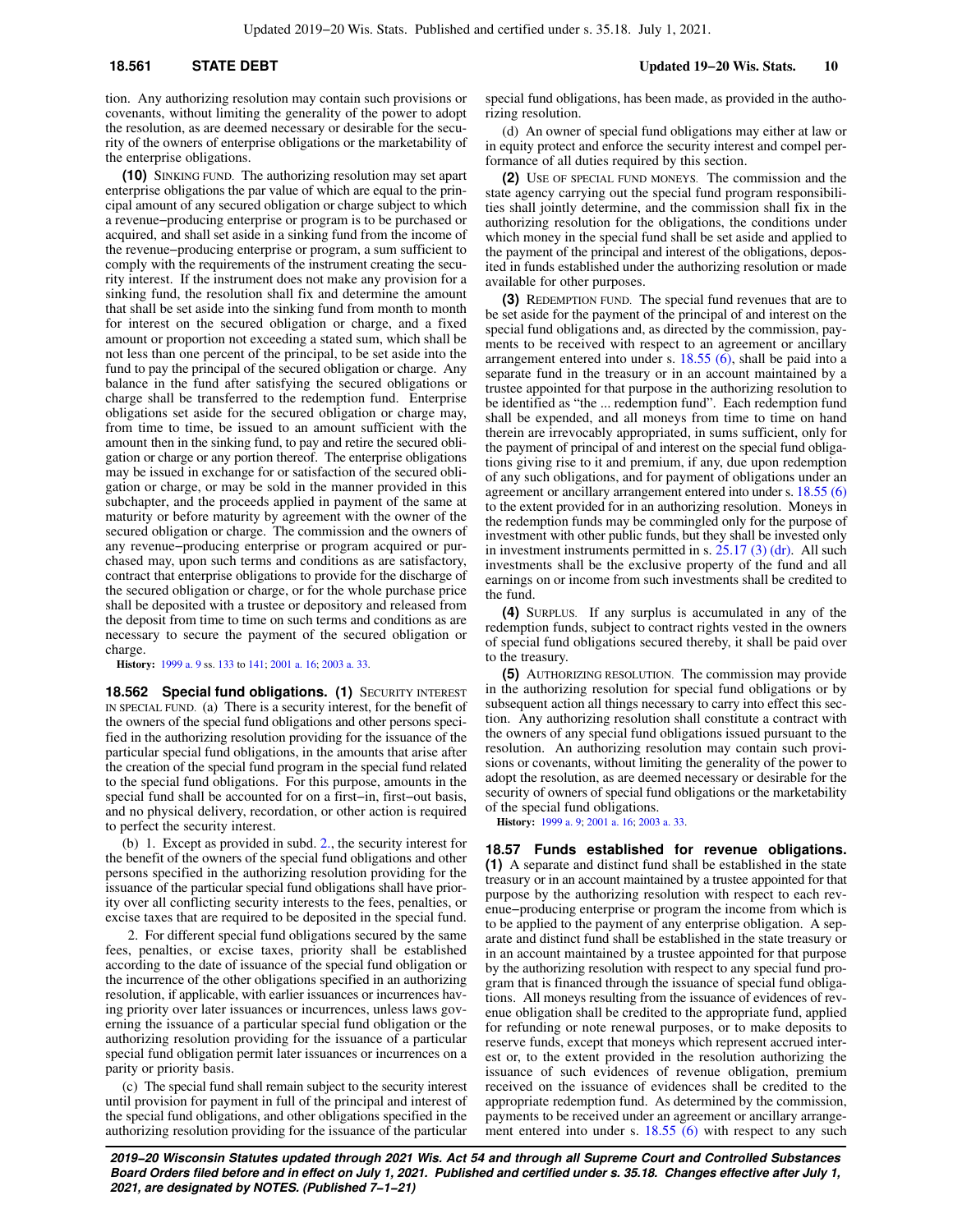tion. Any authorizing resolution may contain such provisions or covenants, without limiting the generality of the power to adopt the resolution, as are deemed necessary or desirable for the security of the owners of enterprise obligations or the marketability of the enterprise obligations.

**(10)** SINKING FUND. The authorizing resolution may set apart enterprise obligations the par value of which are equal to the principal amount of any secured obligation or charge subject to which a revenue−producing enterprise or program is to be purchased or acquired, and shall set aside in a sinking fund from the income of the revenue−producing enterprise or program, a sum sufficient to comply with the requirements of the instrument creating the security interest. If the instrument does not make any provision for a sinking fund, the resolution shall fix and determine the amount that shall be set aside into the sinking fund from month to month for interest on the secured obligation or charge, and a fixed amount or proportion not exceeding a stated sum, which shall be not less than one percent of the principal, to be set aside into the fund to pay the principal of the secured obligation or charge. Any balance in the fund after satisfying the secured obligations or charge shall be transferred to the redemption fund. Enterprise obligations set aside for the secured obligation or charge may, from time to time, be issued to an amount sufficient with the amount then in the sinking fund, to pay and retire the secured obligation or charge or any portion thereof. The enterprise obligations may be issued in exchange for or satisfaction of the secured obligation or charge, or may be sold in the manner provided in this subchapter, and the proceeds applied in payment of the same at maturity or before maturity by agreement with the owner of the secured obligation or charge. The commission and the owners of any revenue−producing enterprise or program acquired or purchased may, upon such terms and conditions as are satisfactory, contract that enterprise obligations to provide for the discharge of the secured obligation or charge, or for the whole purchase price shall be deposited with a trustee or depository and released from the deposit from time to time on such terms and conditions as are necessary to secure the payment of the secured obligation or charge.

**History:** [1999 a. 9](https://docs-preview.legis.wisconsin.gov/document/acts/1999/9) ss. [133](https://docs-preview.legis.wisconsin.gov/document/acts/1999/9,%20s.%20133) to [141](https://docs-preview.legis.wisconsin.gov/document/acts/1999/9,%20s.%20141); [2001 a. 16](https://docs-preview.legis.wisconsin.gov/document/acts/2001/16); [2003 a. 33](https://docs-preview.legis.wisconsin.gov/document/acts/2003/33).

**18.562 Special fund obligations. (1) SECURITY INTEREST** IN SPECIAL FUND. (a) There is a security interest, for the benefit of the owners of the special fund obligations and other persons specified in the authorizing resolution providing for the issuance of the particular special fund obligations, in the amounts that arise after the creation of the special fund program in the special fund related to the special fund obligations. For this purpose, amounts in the special fund shall be accounted for on a first−in, first−out basis, and no physical delivery, recordation, or other action is required to perfect the security interest.

(b) 1. Except as provided in subd. [2.,](https://docs-preview.legis.wisconsin.gov/document/statutes/18.562(1)(b)2.) the security interest for the benefit of the owners of the special fund obligations and other persons specified in the authorizing resolution providing for the issuance of the particular special fund obligations shall have priority over all conflicting security interests to the fees, penalties, or excise taxes that are required to be deposited in the special fund.

2. For different special fund obligations secured by the same fees, penalties, or excise taxes, priority shall be established according to the date of issuance of the special fund obligation or the incurrence of the other obligations specified in an authorizing resolution, if applicable, with earlier issuances or incurrences having priority over later issuances or incurrences, unless laws governing the issuance of a particular special fund obligation or the authorizing resolution providing for the issuance of a particular special fund obligation permit later issuances or incurrences on a parity or priority basis.

(c) The special fund shall remain subject to the security interest until provision for payment in full of the principal and interest of the special fund obligations, and other obligations specified in the authorizing resolution providing for the issuance of the particular

special fund obligations, has been made, as provided in the authorizing resolution.

(d) An owner of special fund obligations may either at law or in equity protect and enforce the security interest and compel performance of all duties required by this section.

**(2)** USE OF SPECIAL FUND MONEYS. The commission and the state agency carrying out the special fund program responsibilities shall jointly determine, and the commission shall fix in the authorizing resolution for the obligations, the conditions under which money in the special fund shall be set aside and applied to the payment of the principal and interest of the obligations, deposited in funds established under the authorizing resolution or made available for other purposes.

**(3)** REDEMPTION FUND. The special fund revenues that are to be set aside for the payment of the principal of and interest on the special fund obligations and, as directed by the commission, payments to be received with respect to an agreement or ancillary arrangement entered into under s. [18.55 \(6\)](https://docs-preview.legis.wisconsin.gov/document/statutes/18.55(6)), shall be paid into a separate fund in the treasury or in an account maintained by a trustee appointed for that purpose in the authorizing resolution to be identified as "the ... redemption fund". Each redemption fund shall be expended, and all moneys from time to time on hand therein are irrevocably appropriated, in sums sufficient, only for the payment of principal of and interest on the special fund obligations giving rise to it and premium, if any, due upon redemption of any such obligations, and for payment of obligations under an agreement or ancillary arrangement entered into under s. [18.55 \(6\)](https://docs-preview.legis.wisconsin.gov/document/statutes/18.55(6)) to the extent provided for in an authorizing resolution. Moneys in the redemption funds may be commingled only for the purpose of investment with other public funds, but they shall be invested only in investment instruments permitted in s. [25.17 \(3\) \(dr\)](https://docs-preview.legis.wisconsin.gov/document/statutes/25.17(3)(dr)). All such investments shall be the exclusive property of the fund and all earnings on or income from such investments shall be credited to the fund.

**(4)** SURPLUS. If any surplus is accumulated in any of the redemption funds, subject to contract rights vested in the owners of special fund obligations secured thereby, it shall be paid over to the treasury.

**(5)** AUTHORIZING RESOLUTION. The commission may provide in the authorizing resolution for special fund obligations or by subsequent action all things necessary to carry into effect this section. Any authorizing resolution shall constitute a contract with the owners of any special fund obligations issued pursuant to the resolution. An authorizing resolution may contain such provisions or covenants, without limiting the generality of the power to adopt the resolution, as are deemed necessary or desirable for the security of owners of special fund obligations or the marketability of the special fund obligations.

**History:** [1999 a. 9;](https://docs-preview.legis.wisconsin.gov/document/acts/1999/9) [2001 a. 16;](https://docs-preview.legis.wisconsin.gov/document/acts/2001/16) [2003 a. 33.](https://docs-preview.legis.wisconsin.gov/document/acts/2003/33)

**18.57 Funds established for revenue obligations. (1)** A separate and distinct fund shall be established in the state treasury or in an account maintained by a trustee appointed for that purpose by the authorizing resolution with respect to each revenue−producing enterprise or program the income from which is to be applied to the payment of any enterprise obligation. A separate and distinct fund shall be established in the state treasury or in an account maintained by a trustee appointed for that purpose by the authorizing resolution with respect to any special fund program that is financed through the issuance of special fund obligations. All moneys resulting from the issuance of evidences of revenue obligation shall be credited to the appropriate fund, applied for refunding or note renewal purposes, or to make deposits to reserve funds, except that moneys which represent accrued interest or, to the extent provided in the resolution authorizing the issuance of such evidences of revenue obligation, premium received on the issuance of evidences shall be credited to the appropriate redemption fund. As determined by the commission, payments to be received under an agreement or ancillary arrange-ment entered into under s. [18.55 \(6\)](https://docs-preview.legis.wisconsin.gov/document/statutes/18.55(6)) with respect to any such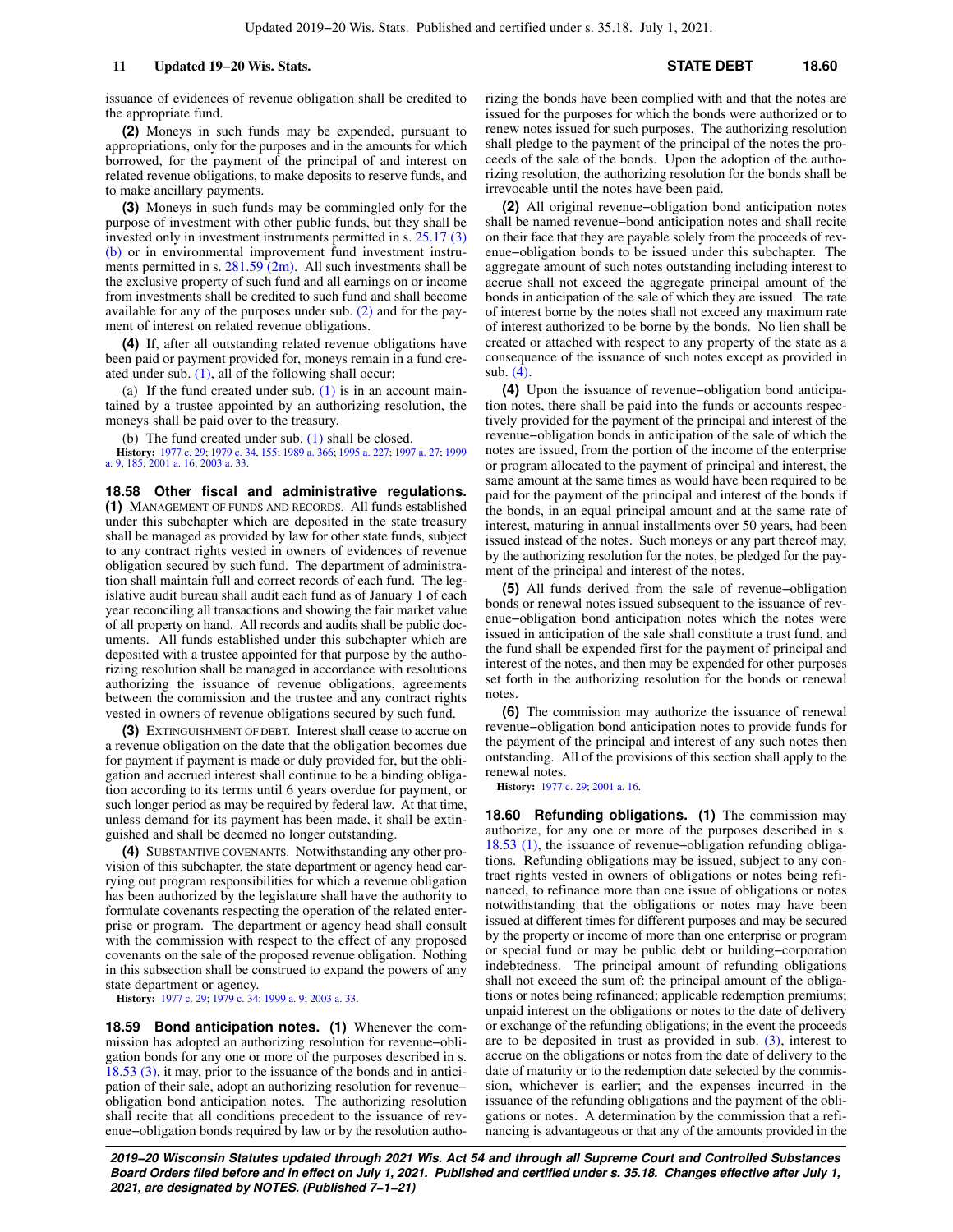issuance of evidences of revenue obligation shall be credited to the appropriate fund.

**(2)** Moneys in such funds may be expended, pursuant to appropriations, only for the purposes and in the amounts for which borrowed, for the payment of the principal of and interest on related revenue obligations, to make deposits to reserve funds, and to make ancillary payments.

**(3)** Moneys in such funds may be commingled only for the purpose of investment with other public funds, but they shall be invested only in investment instruments permitted in s. [25.17 \(3\)](https://docs-preview.legis.wisconsin.gov/document/statutes/25.17(3)(b)) [\(b\)](https://docs-preview.legis.wisconsin.gov/document/statutes/25.17(3)(b)) or in environmental improvement fund investment instruments permitted in s.  $281.59$  (2m). All such investments shall be the exclusive property of such fund and all earnings on or income from investments shall be credited to such fund and shall become available for any of the purposes under sub. [\(2\)](https://docs-preview.legis.wisconsin.gov/document/statutes/18.57(2)) and for the payment of interest on related revenue obligations.

**(4)** If, after all outstanding related revenue obligations have been paid or payment provided for, moneys remain in a fund created under sub. [\(1\),](https://docs-preview.legis.wisconsin.gov/document/statutes/18.57(1)) all of the following shall occur:

(a) If the fund created under sub.  $(1)$  is in an account maintained by a trustee appointed by an authorizing resolution, the moneys shall be paid over to the treasury.

(b) The fund created under sub.  $(1)$  shall be closed.

**History:** [1977 c. 29;](https://docs-preview.legis.wisconsin.gov/document/acts/1977/29) [1979 c. 34](https://docs-preview.legis.wisconsin.gov/document/acts/1979/34), [155](https://docs-preview.legis.wisconsin.gov/document/acts/1979/155); [1989 a. 366](https://docs-preview.legis.wisconsin.gov/document/acts/1989/366); [1995 a. 227](https://docs-preview.legis.wisconsin.gov/document/acts/1995/227); [1997 a. 27;](https://docs-preview.legis.wisconsin.gov/document/acts/1997/27) [1999](https://docs-preview.legis.wisconsin.gov/document/acts/1999/9) [a. 9,](https://docs-preview.legis.wisconsin.gov/document/acts/1999/9) [185;](https://docs-preview.legis.wisconsin.gov/document/acts/1999/185) [2001 a. 16](https://docs-preview.legis.wisconsin.gov/document/acts/2001/16); [2003 a. 33](https://docs-preview.legis.wisconsin.gov/document/acts/2003/33).

**18.58 Other fiscal and administrative regulations. (1)** MANAGEMENT OF FUNDS AND RECORDS. All funds established under this subchapter which are deposited in the state treasury shall be managed as provided by law for other state funds, subject to any contract rights vested in owners of evidences of revenue obligation secured by such fund. The department of administration shall maintain full and correct records of each fund. The legislative audit bureau shall audit each fund as of January 1 of each year reconciling all transactions and showing the fair market value of all property on hand. All records and audits shall be public documents. All funds established under this subchapter which are deposited with a trustee appointed for that purpose by the authorizing resolution shall be managed in accordance with resolutions authorizing the issuance of revenue obligations, agreements between the commission and the trustee and any contract rights vested in owners of revenue obligations secured by such fund.

**(3)** EXTINGUISHMENT OF DEBT. Interest shall cease to accrue on a revenue obligation on the date that the obligation becomes due for payment if payment is made or duly provided for, but the obligation and accrued interest shall continue to be a binding obligation according to its terms until 6 years overdue for payment, or such longer period as may be required by federal law. At that time, unless demand for its payment has been made, it shall be extinguished and shall be deemed no longer outstanding.

**(4)** SUBSTANTIVE COVENANTS. Notwithstanding any other provision of this subchapter, the state department or agency head carrying out program responsibilities for which a revenue obligation has been authorized by the legislature shall have the authority to formulate covenants respecting the operation of the related enterprise or program. The department or agency head shall consult with the commission with respect to the effect of any proposed covenants on the sale of the proposed revenue obligation. Nothing in this subsection shall be construed to expand the powers of any state department or agency.

**History:** [1977 c. 29;](https://docs-preview.legis.wisconsin.gov/document/acts/1977/29) [1979 c. 34;](https://docs-preview.legis.wisconsin.gov/document/acts/1979/34) [1999 a. 9;](https://docs-preview.legis.wisconsin.gov/document/acts/1999/9) [2003 a. 33.](https://docs-preview.legis.wisconsin.gov/document/acts/2003/33)

**18.59 Bond anticipation notes. (1)** Whenever the commission has adopted an authorizing resolution for revenue−obligation bonds for any one or more of the purposes described in s. [18.53 \(3\),](https://docs-preview.legis.wisconsin.gov/document/statutes/18.53(3)) it may, prior to the issuance of the bonds and in anticipation of their sale, adopt an authorizing resolution for revenue− obligation bond anticipation notes. The authorizing resolution shall recite that all conditions precedent to the issuance of revenue−obligation bonds required by law or by the resolution authorizing the bonds have been complied with and that the notes are issued for the purposes for which the bonds were authorized or to renew notes issued for such purposes. The authorizing resolution shall pledge to the payment of the principal of the notes the proceeds of the sale of the bonds. Upon the adoption of the authorizing resolution, the authorizing resolution for the bonds shall be irrevocable until the notes have been paid.

**(2)** All original revenue−obligation bond anticipation notes shall be named revenue−bond anticipation notes and shall recite on their face that they are payable solely from the proceeds of revenue−obligation bonds to be issued under this subchapter. The aggregate amount of such notes outstanding including interest to accrue shall not exceed the aggregate principal amount of the bonds in anticipation of the sale of which they are issued. The rate of interest borne by the notes shall not exceed any maximum rate of interest authorized to be borne by the bonds. No lien shall be created or attached with respect to any property of the state as a consequence of the issuance of such notes except as provided in sub. [\(4\).](https://docs-preview.legis.wisconsin.gov/document/statutes/18.59(4))

**(4)** Upon the issuance of revenue−obligation bond anticipation notes, there shall be paid into the funds or accounts respectively provided for the payment of the principal and interest of the revenue−obligation bonds in anticipation of the sale of which the notes are issued, from the portion of the income of the enterprise or program allocated to the payment of principal and interest, the same amount at the same times as would have been required to be paid for the payment of the principal and interest of the bonds if the bonds, in an equal principal amount and at the same rate of interest, maturing in annual installments over 50 years, had been issued instead of the notes. Such moneys or any part thereof may, by the authorizing resolution for the notes, be pledged for the payment of the principal and interest of the notes.

**(5)** All funds derived from the sale of revenue−obligation bonds or renewal notes issued subsequent to the issuance of revenue−obligation bond anticipation notes which the notes were issued in anticipation of the sale shall constitute a trust fund, and the fund shall be expended first for the payment of principal and interest of the notes, and then may be expended for other purposes set forth in the authorizing resolution for the bonds or renewal notes

**(6)** The commission may authorize the issuance of renewal revenue−obligation bond anticipation notes to provide funds for the payment of the principal and interest of any such notes then outstanding. All of the provisions of this section shall apply to the renewal notes.

**History:** [1977 c. 29](https://docs-preview.legis.wisconsin.gov/document/acts/1977/29); [2001 a. 16](https://docs-preview.legis.wisconsin.gov/document/acts/2001/16).

**18.60 Refunding obligations. (1)** The commission may authorize, for any one or more of the purposes described in s. [18.53 \(1\),](https://docs-preview.legis.wisconsin.gov/document/statutes/18.53(1)) the issuance of revenue−obligation refunding obligations. Refunding obligations may be issued, subject to any contract rights vested in owners of obligations or notes being refinanced, to refinance more than one issue of obligations or notes notwithstanding that the obligations or notes may have been issued at different times for different purposes and may be secured by the property or income of more than one enterprise or program or special fund or may be public debt or building−corporation indebtedness. The principal amount of refunding obligations shall not exceed the sum of: the principal amount of the obligations or notes being refinanced; applicable redemption premiums; unpaid interest on the obligations or notes to the date of delivery or exchange of the refunding obligations; in the event the proceeds are to be deposited in trust as provided in sub.  $(3)$ , interest to accrue on the obligations or notes from the date of delivery to the date of maturity or to the redemption date selected by the commission, whichever is earlier; and the expenses incurred in the issuance of the refunding obligations and the payment of the obligations or notes. A determination by the commission that a refinancing is advantageous or that any of the amounts provided in the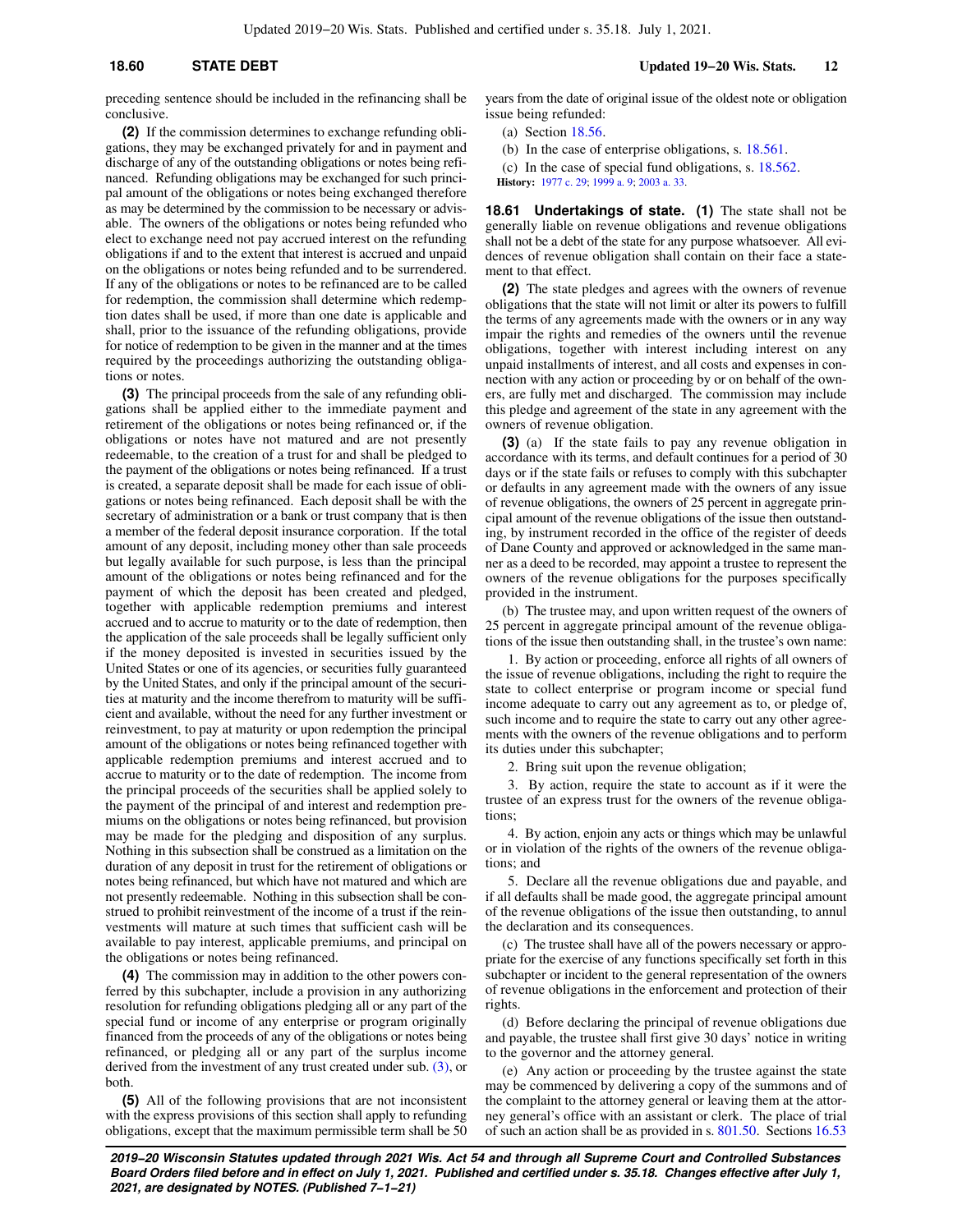preceding sentence should be included in the refinancing shall be conclusive.

**(2)** If the commission determines to exchange refunding obligations, they may be exchanged privately for and in payment and discharge of any of the outstanding obligations or notes being refinanced. Refunding obligations may be exchanged for such principal amount of the obligations or notes being exchanged therefore as may be determined by the commission to be necessary or advisable. The owners of the obligations or notes being refunded who elect to exchange need not pay accrued interest on the refunding obligations if and to the extent that interest is accrued and unpaid on the obligations or notes being refunded and to be surrendered. If any of the obligations or notes to be refinanced are to be called for redemption, the commission shall determine which redemption dates shall be used, if more than one date is applicable and shall, prior to the issuance of the refunding obligations, provide for notice of redemption to be given in the manner and at the times required by the proceedings authorizing the outstanding obligations or notes.

**(3)** The principal proceeds from the sale of any refunding obligations shall be applied either to the immediate payment and retirement of the obligations or notes being refinanced or, if the obligations or notes have not matured and are not presently redeemable, to the creation of a trust for and shall be pledged to the payment of the obligations or notes being refinanced. If a trust is created, a separate deposit shall be made for each issue of obligations or notes being refinanced. Each deposit shall be with the secretary of administration or a bank or trust company that is then a member of the federal deposit insurance corporation. If the total amount of any deposit, including money other than sale proceeds but legally available for such purpose, is less than the principal amount of the obligations or notes being refinanced and for the payment of which the deposit has been created and pledged, together with applicable redemption premiums and interest accrued and to accrue to maturity or to the date of redemption, then the application of the sale proceeds shall be legally sufficient only if the money deposited is invested in securities issued by the United States or one of its agencies, or securities fully guaranteed by the United States, and only if the principal amount of the securities at maturity and the income therefrom to maturity will be sufficient and available, without the need for any further investment or reinvestment, to pay at maturity or upon redemption the principal amount of the obligations or notes being refinanced together with applicable redemption premiums and interest accrued and to accrue to maturity or to the date of redemption. The income from the principal proceeds of the securities shall be applied solely to the payment of the principal of and interest and redemption premiums on the obligations or notes being refinanced, but provision may be made for the pledging and disposition of any surplus. Nothing in this subsection shall be construed as a limitation on the duration of any deposit in trust for the retirement of obligations or notes being refinanced, but which have not matured and which are not presently redeemable. Nothing in this subsection shall be construed to prohibit reinvestment of the income of a trust if the reinvestments will mature at such times that sufficient cash will be available to pay interest, applicable premiums, and principal on the obligations or notes being refinanced.

**(4)** The commission may in addition to the other powers conferred by this subchapter, include a provision in any authorizing resolution for refunding obligations pledging all or any part of the special fund or income of any enterprise or program originally financed from the proceeds of any of the obligations or notes being refinanced, or pledging all or any part of the surplus income derived from the investment of any trust created under sub. [\(3\),](https://docs-preview.legis.wisconsin.gov/document/statutes/18.60(3)) or both.

**(5)** All of the following provisions that are not inconsistent with the express provisions of this section shall apply to refunding obligations, except that the maximum permissible term shall be 50

years from the date of original issue of the oldest note or obligation issue being refunded:

(a) Section [18.56](https://docs-preview.legis.wisconsin.gov/document/statutes/18.56).

(b) In the case of enterprise obligations, s. [18.561](https://docs-preview.legis.wisconsin.gov/document/statutes/18.561).

(c) In the case of special fund obligations, s. [18.562](https://docs-preview.legis.wisconsin.gov/document/statutes/18.562). **History:** [1977 c. 29](https://docs-preview.legis.wisconsin.gov/document/acts/1977/29); [1999 a. 9;](https://docs-preview.legis.wisconsin.gov/document/acts/1999/9) [2003 a. 33.](https://docs-preview.legis.wisconsin.gov/document/acts/2003/33)

**18.61 Undertakings of state. (1)** The state shall not be generally liable on revenue obligations and revenue obligations shall not be a debt of the state for any purpose whatsoever. All evidences of revenue obligation shall contain on their face a statement to that effect.

**(2)** The state pledges and agrees with the owners of revenue obligations that the state will not limit or alter its powers to fulfill the terms of any agreements made with the owners or in any way impair the rights and remedies of the owners until the revenue obligations, together with interest including interest on any unpaid installments of interest, and all costs and expenses in connection with any action or proceeding by or on behalf of the owners, are fully met and discharged. The commission may include this pledge and agreement of the state in any agreement with the owners of revenue obligation.

**(3)** (a) If the state fails to pay any revenue obligation in accordance with its terms, and default continues for a period of 30 days or if the state fails or refuses to comply with this subchapter or defaults in any agreement made with the owners of any issue of revenue obligations, the owners of 25 percent in aggregate principal amount of the revenue obligations of the issue then outstanding, by instrument recorded in the office of the register of deeds of Dane County and approved or acknowledged in the same manner as a deed to be recorded, may appoint a trustee to represent the owners of the revenue obligations for the purposes specifically provided in the instrument.

(b) The trustee may, and upon written request of the owners of 25 percent in aggregate principal amount of the revenue obligations of the issue then outstanding shall, in the trustee's own name:

1. By action or proceeding, enforce all rights of all owners of the issue of revenue obligations, including the right to require the state to collect enterprise or program income or special fund income adequate to carry out any agreement as to, or pledge of, such income and to require the state to carry out any other agreements with the owners of the revenue obligations and to perform its duties under this subchapter;

2. Bring suit upon the revenue obligation;

3. By action, require the state to account as if it were the trustee of an express trust for the owners of the revenue obligations;

4. By action, enjoin any acts or things which may be unlawful or in violation of the rights of the owners of the revenue obligations; and

5. Declare all the revenue obligations due and payable, and if all defaults shall be made good, the aggregate principal amount of the revenue obligations of the issue then outstanding, to annul the declaration and its consequences.

(c) The trustee shall have all of the powers necessary or appropriate for the exercise of any functions specifically set forth in this subchapter or incident to the general representation of the owners of revenue obligations in the enforcement and protection of their rights.

(d) Before declaring the principal of revenue obligations due and payable, the trustee shall first give 30 days' notice in writing to the governor and the attorney general.

(e) Any action or proceeding by the trustee against the state may be commenced by delivering a copy of the summons and of the complaint to the attorney general or leaving them at the attorney general's office with an assistant or clerk. The place of trial of such an action shall be as provided in s. [801.50](https://docs-preview.legis.wisconsin.gov/document/statutes/801.50). Sections [16.53](https://docs-preview.legis.wisconsin.gov/document/statutes/16.53)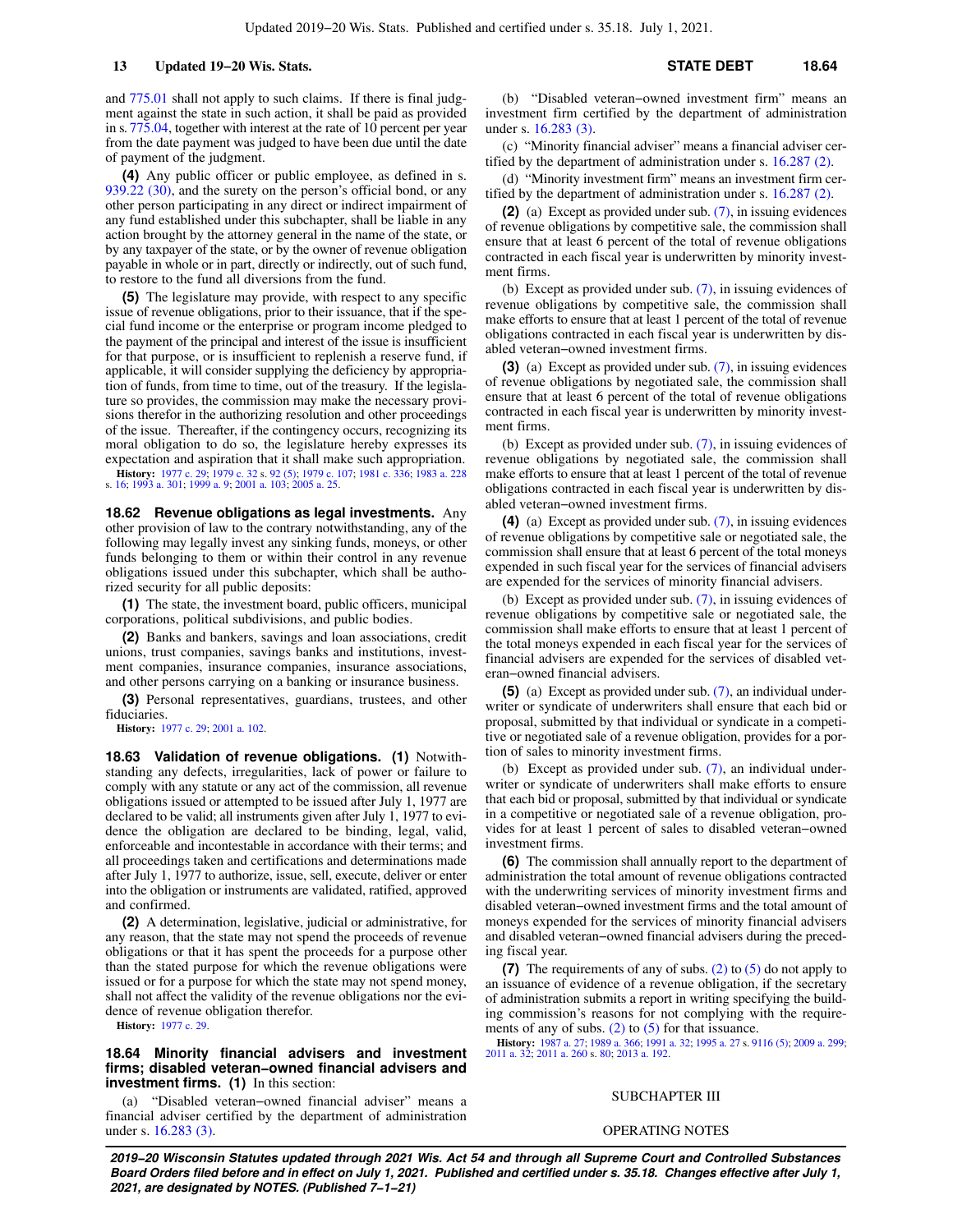and [775.01](https://docs-preview.legis.wisconsin.gov/document/statutes/775.01) shall not apply to such claims. If there is final judgment against the state in such action, it shall be paid as provided in s. [775.04](https://docs-preview.legis.wisconsin.gov/document/statutes/775.04), together with interest at the rate of 10 percent per year from the date payment was judged to have been due until the date of payment of the judgment.

**(4)** Any public officer or public employee, as defined in s. [939.22 \(30\)](https://docs-preview.legis.wisconsin.gov/document/statutes/939.22(30)), and the surety on the person's official bond, or any other person participating in any direct or indirect impairment of any fund established under this subchapter, shall be liable in any action brought by the attorney general in the name of the state, or by any taxpayer of the state, or by the owner of revenue obligation payable in whole or in part, directly or indirectly, out of such fund, to restore to the fund all diversions from the fund.

**(5)** The legislature may provide, with respect to any specific issue of revenue obligations, prior to their issuance, that if the special fund income or the enterprise or program income pledged to the payment of the principal and interest of the issue is insufficient for that purpose, or is insufficient to replenish a reserve fund, if applicable, it will consider supplying the deficiency by appropriation of funds, from time to time, out of the treasury. If the legislature so provides, the commission may make the necessary provisions therefor in the authorizing resolution and other proceedings of the issue. Thereafter, if the contingency occurs, recognizing its moral obligation to do so, the legislature hereby expresses its expectation and aspiration that it shall make such appropriation.

**History:** [1977 c. 29;](https://docs-preview.legis.wisconsin.gov/document/acts/1977/29) [1979 c. 32](https://docs-preview.legis.wisconsin.gov/document/acts/1979/32) s. [92 \(5\)](https://docs-preview.legis.wisconsin.gov/document/acts/1979/32,%20s.%2092); [1979 c. 107;](https://docs-preview.legis.wisconsin.gov/document/acts/1979/107) [1981 c. 336](https://docs-preview.legis.wisconsin.gov/document/acts/1981/336); [1983 a. 228](https://docs-preview.legis.wisconsin.gov/document/acts/1983/228) s. [16](https://docs-preview.legis.wisconsin.gov/document/acts/1983/228,%20s.%2016); [1993 a. 301;](https://docs-preview.legis.wisconsin.gov/document/acts/1993/301) [1999 a. 9](https://docs-preview.legis.wisconsin.gov/document/acts/1999/9); [2001 a. 103](https://docs-preview.legis.wisconsin.gov/document/acts/2001/103); [2005 a. 25](https://docs-preview.legis.wisconsin.gov/document/acts/2005/25).

**18.62 Revenue obligations as legal investments.** Any other provision of law to the contrary notwithstanding, any of the following may legally invest any sinking funds, moneys, or other funds belonging to them or within their control in any revenue obligations issued under this subchapter, which shall be authorized security for all public deposits:

**(1)** The state, the investment board, public officers, municipal corporations, political subdivisions, and public bodies.

**(2)** Banks and bankers, savings and loan associations, credit unions, trust companies, savings banks and institutions, investment companies, insurance companies, insurance associations, and other persons carrying on a banking or insurance business.

**(3)** Personal representatives, guardians, trustees, and other fiduciaries.

**History:** [1977 c. 29;](https://docs-preview.legis.wisconsin.gov/document/acts/1977/29) [2001 a. 102.](https://docs-preview.legis.wisconsin.gov/document/acts/2001/102)

**18.63 Validation of revenue obligations. (1)** Notwithstanding any defects, irregularities, lack of power or failure to comply with any statute or any act of the commission, all revenue obligations issued or attempted to be issued after July 1, 1977 are declared to be valid; all instruments given after July 1, 1977 to evidence the obligation are declared to be binding, legal, valid, enforceable and incontestable in accordance with their terms; and all proceedings taken and certifications and determinations made after July 1, 1977 to authorize, issue, sell, execute, deliver or enter into the obligation or instruments are validated, ratified, approved and confirmed.

**(2)** A determination, legislative, judicial or administrative, for any reason, that the state may not spend the proceeds of revenue obligations or that it has spent the proceeds for a purpose other than the stated purpose for which the revenue obligations were issued or for a purpose for which the state may not spend money, shall not affect the validity of the revenue obligations nor the evidence of revenue obligation therefor.

**History:** [1977 c. 29.](https://docs-preview.legis.wisconsin.gov/document/acts/1977/29)

### **18.64 Minority financial advisers and investment firms; disabled veteran−owned financial advisers and investment firms. (1)** In this section:

(a) "Disabled veteran−owned financial adviser" means a financial adviser certified by the department of administration under s. [16.283 \(3\)](https://docs-preview.legis.wisconsin.gov/document/statutes/16.283(3)).

(b) "Disabled veteran−owned investment firm" means an investment firm certified by the department of administration under s. [16.283 \(3\).](https://docs-preview.legis.wisconsin.gov/document/statutes/16.283(3))

(c) "Minority financial adviser" means a financial adviser certified by the department of administration under s. [16.287 \(2\).](https://docs-preview.legis.wisconsin.gov/document/statutes/16.287(2))

(d) "Minority investment firm" means an investment firm certified by the department of administration under s. [16.287 \(2\).](https://docs-preview.legis.wisconsin.gov/document/statutes/16.287(2))

**(2)** (a) Except as provided under sub. [\(7\)](https://docs-preview.legis.wisconsin.gov/document/statutes/18.64(7)), in issuing evidences of revenue obligations by competitive sale, the commission shall ensure that at least 6 percent of the total of revenue obligations contracted in each fiscal year is underwritten by minority investment firms.

(b) Except as provided under sub. [\(7\)](https://docs-preview.legis.wisconsin.gov/document/statutes/18.64(7)), in issuing evidences of revenue obligations by competitive sale, the commission shall make efforts to ensure that at least 1 percent of the total of revenue obligations contracted in each fiscal year is underwritten by disabled veteran−owned investment firms.

**(3)** (a) Except as provided under sub. [\(7\)](https://docs-preview.legis.wisconsin.gov/document/statutes/18.64(7)), in issuing evidences of revenue obligations by negotiated sale, the commission shall ensure that at least 6 percent of the total of revenue obligations contracted in each fiscal year is underwritten by minority investment firms.

(b) Except as provided under sub. [\(7\)](https://docs-preview.legis.wisconsin.gov/document/statutes/18.64(7)), in issuing evidences of revenue obligations by negotiated sale, the commission shall make efforts to ensure that at least 1 percent of the total of revenue obligations contracted in each fiscal year is underwritten by disabled veteran−owned investment firms.

**(4)** (a) Except as provided under sub. [\(7\)](https://docs-preview.legis.wisconsin.gov/document/statutes/18.64(7)), in issuing evidences of revenue obligations by competitive sale or negotiated sale, the commission shall ensure that at least 6 percent of the total moneys expended in such fiscal year for the services of financial advisers are expended for the services of minority financial advisers.

(b) Except as provided under sub. [\(7\)](https://docs-preview.legis.wisconsin.gov/document/statutes/18.64(7)), in issuing evidences of revenue obligations by competitive sale or negotiated sale, the commission shall make efforts to ensure that at least 1 percent of the total moneys expended in each fiscal year for the services of financial advisers are expended for the services of disabled veteran−owned financial advisers.

**(5)** (a) Except as provided under sub. [\(7\),](https://docs-preview.legis.wisconsin.gov/document/statutes/18.64(7)) an individual underwriter or syndicate of underwriters shall ensure that each bid or proposal, submitted by that individual or syndicate in a competitive or negotiated sale of a revenue obligation, provides for a portion of sales to minority investment firms.

(b) Except as provided under sub. [\(7\)](https://docs-preview.legis.wisconsin.gov/document/statutes/18.64(7)), an individual underwriter or syndicate of underwriters shall make efforts to ensure that each bid or proposal, submitted by that individual or syndicate in a competitive or negotiated sale of a revenue obligation, provides for at least 1 percent of sales to disabled veteran−owned investment firms.

**(6)** The commission shall annually report to the department of administration the total amount of revenue obligations contracted with the underwriting services of minority investment firms and disabled veteran−owned investment firms and the total amount of moneys expended for the services of minority financial advisers and disabled veteran−owned financial advisers during the preceding fiscal year.

**(7)** The requirements of any of subs. [\(2\)](https://docs-preview.legis.wisconsin.gov/document/statutes/18.64(2)) to [\(5\)](https://docs-preview.legis.wisconsin.gov/document/statutes/18.64(5)) do not apply to an issuance of evidence of a revenue obligation, if the secretary of administration submits a report in writing specifying the building commission's reasons for not complying with the requirements of any of subs.  $(2)$  to  $(5)$  for that issuance.

**History:** [1987 a. 27;](https://docs-preview.legis.wisconsin.gov/document/acts/1987/27) [1989 a. 366](https://docs-preview.legis.wisconsin.gov/document/acts/1989/366); [1991 a. 32;](https://docs-preview.legis.wisconsin.gov/document/acts/1991/32) [1995 a. 27](https://docs-preview.legis.wisconsin.gov/document/acts/1995/27) s. [9116 \(5\);](https://docs-preview.legis.wisconsin.gov/document/acts/1995/27,%20s.%209116) [2009 a. 299](https://docs-preview.legis.wisconsin.gov/document/acts/2009/299); [2011 a. 32](https://docs-preview.legis.wisconsin.gov/document/acts/2011/32); [2011 a. 260](https://docs-preview.legis.wisconsin.gov/document/acts/2011/260) s. [80;](https://docs-preview.legis.wisconsin.gov/document/acts/2011/260,%20s.%2080) [2013 a. 192](https://docs-preview.legis.wisconsin.gov/document/acts/2013/192).

### SUBCHAPTER III

#### OPERATING NOTES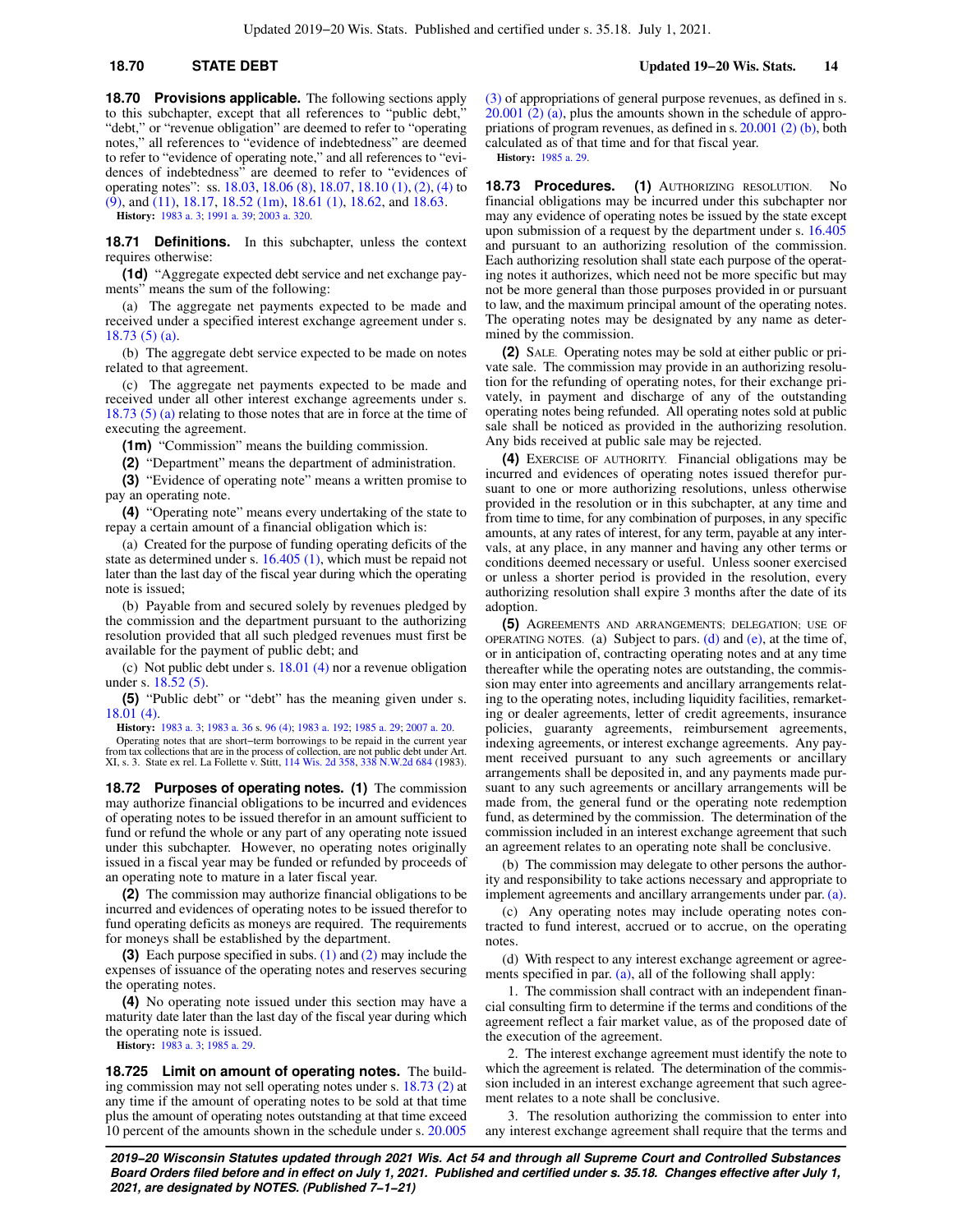**18.70 Provisions applicable.** The following sections apply to this subchapter, except that all references to "public debt," "debt," or "revenue obligation" are deemed to refer to "operating notes," all references to "evidence of indebtedness" are deemed to refer to "evidence of operating note," and all references to "evidences of indebtedness" are deemed to refer to "evidences of operating notes": ss. [18.03](https://docs-preview.legis.wisconsin.gov/document/statutes/18.03), [18.06 \(8\)](https://docs-preview.legis.wisconsin.gov/document/statutes/18.06(8)), [18.07](https://docs-preview.legis.wisconsin.gov/document/statutes/18.07), [18.10 \(1\)](https://docs-preview.legis.wisconsin.gov/document/statutes/18.10(1)), [\(2\),](https://docs-preview.legis.wisconsin.gov/document/statutes/18.10(2)) [\(4\)](https://docs-preview.legis.wisconsin.gov/document/statutes/18.10(4)) to  $(9)$ , and  $(11)$ , [18.17,](https://docs-preview.legis.wisconsin.gov/document/statutes/18.17) [18.52 \(1m\),](https://docs-preview.legis.wisconsin.gov/document/statutes/18.52(1m)) [18.61 \(1\)](https://docs-preview.legis.wisconsin.gov/document/statutes/18.61(1)), [18.62](https://docs-preview.legis.wisconsin.gov/document/statutes/18.62), and [18.63.](https://docs-preview.legis.wisconsin.gov/document/statutes/18.63)

**History:** [1983 a. 3](https://docs-preview.legis.wisconsin.gov/document/acts/1983/3); [1991 a. 39](https://docs-preview.legis.wisconsin.gov/document/acts/1991/39); [2003 a. 320](https://docs-preview.legis.wisconsin.gov/document/acts/2003/320).

**18.71 Definitions.** In this subchapter, unless the context requires otherwise:

**(1d)** "Aggregate expected debt service and net exchange payments" means the sum of the following:

(a) The aggregate net payments expected to be made and received under a specified interest exchange agreement under s. [18.73 \(5\) \(a\)](https://docs-preview.legis.wisconsin.gov/document/statutes/18.73(5)(a)).

(b) The aggregate debt service expected to be made on notes related to that agreement.

(c) The aggregate net payments expected to be made and received under all other interest exchange agreements under s. [18.73 \(5\) \(a\)](https://docs-preview.legis.wisconsin.gov/document/statutes/18.73(5)(a)) relating to those notes that are in force at the time of executing the agreement.

**(1m)** "Commission" means the building commission.

**(2)** "Department" means the department of administration.

**(3)** "Evidence of operating note" means a written promise to pay an operating note.

**(4)** "Operating note" means every undertaking of the state to repay a certain amount of a financial obligation which is:

(a) Created for the purpose of funding operating deficits of the state as determined under s. [16.405 \(1\),](https://docs-preview.legis.wisconsin.gov/document/statutes/16.405(1)) which must be repaid not later than the last day of the fiscal year during which the operating note is issued;

(b) Payable from and secured solely by revenues pledged by the commission and the department pursuant to the authorizing resolution provided that all such pledged revenues must first be available for the payment of public debt; and

(c) Not public debt under s. [18.01 \(4\)](https://docs-preview.legis.wisconsin.gov/document/statutes/18.01(4)) nor a revenue obligation under s. [18.52 \(5\).](https://docs-preview.legis.wisconsin.gov/document/statutes/18.52(5))

**(5)** "Public debt" or "debt" has the meaning given under s. [18.01 \(4\).](https://docs-preview.legis.wisconsin.gov/document/statutes/18.01(4))

**History:** [1983 a. 3](https://docs-preview.legis.wisconsin.gov/document/acts/1983/3); [1983 a. 36](https://docs-preview.legis.wisconsin.gov/document/acts/1983/36) s. [96 \(4\)](https://docs-preview.legis.wisconsin.gov/document/acts/1983/36,%20s.%2096); [1983 a. 192](https://docs-preview.legis.wisconsin.gov/document/acts/1983/192); [1985 a. 29](https://docs-preview.legis.wisconsin.gov/document/acts/1985/29); [2007 a. 20](https://docs-preview.legis.wisconsin.gov/document/acts/2007/20).

Operating notes that are short−term borrowings to be repaid in the current year from tax collections that are in the process of collection, are not public debt under Art. XI, s. 3. State ex rel. La Follette v. Stitt, [114 Wis. 2d 358](https://docs-preview.legis.wisconsin.gov/document/courts/114%20Wis.%202d%20358), [338 N.W.2d 684](https://docs-preview.legis.wisconsin.gov/document/courts/338%20N.W.2d%20684) (1983).

**18.72 Purposes of operating notes. (1)** The commission may authorize financial obligations to be incurred and evidences of operating notes to be issued therefor in an amount sufficient to fund or refund the whole or any part of any operating note issued under this subchapter. However, no operating notes originally issued in a fiscal year may be funded or refunded by proceeds of an operating note to mature in a later fiscal year.

**(2)** The commission may authorize financial obligations to be incurred and evidences of operating notes to be issued therefor to fund operating deficits as moneys are required. The requirements for moneys shall be established by the department.

**(3)** Each purpose specified in subs. [\(1\)](https://docs-preview.legis.wisconsin.gov/document/statutes/18.72(1)) and [\(2\)](https://docs-preview.legis.wisconsin.gov/document/statutes/18.72(2)) may include the expenses of issuance of the operating notes and reserves securing the operating notes.

**(4)** No operating note issued under this section may have a maturity date later than the last day of the fiscal year during which the operating note is issued. **History:** [1983 a. 3](https://docs-preview.legis.wisconsin.gov/document/acts/1983/3); [1985 a. 29](https://docs-preview.legis.wisconsin.gov/document/acts/1985/29).

**18.725 Limit on amount of operating notes.** The building commission may not sell operating notes under s. [18.73 \(2\)](https://docs-preview.legis.wisconsin.gov/document/statutes/18.73(2)) at any time if the amount of operating notes to be sold at that time plus the amount of operating notes outstanding at that time exceed 10 percent of the amounts shown in the schedule under s. [20.005](https://docs-preview.legis.wisconsin.gov/document/statutes/20.005(3))

[\(3\)](https://docs-preview.legis.wisconsin.gov/document/statutes/20.005(3)) of appropriations of general purpose revenues, as defined in s. [20.001 \(2\) \(a\),](https://docs-preview.legis.wisconsin.gov/document/statutes/20.001(2)(a)) plus the amounts shown in the schedule of appropriations of program revenues, as defined in s. [20.001 \(2\) \(b\)](https://docs-preview.legis.wisconsin.gov/document/statutes/20.001(2)(b)), both calculated as of that time and for that fiscal year. **History:** [1985 a. 29](https://docs-preview.legis.wisconsin.gov/document/acts/1985/29).

**18.73 Procedures. (1)** AUTHORIZING RESOLUTION. No financial obligations may be incurred under this subchapter nor may any evidence of operating notes be issued by the state except upon submission of a request by the department under s. [16.405](https://docs-preview.legis.wisconsin.gov/document/statutes/16.405) and pursuant to an authorizing resolution of the commission. Each authorizing resolution shall state each purpose of the operating notes it authorizes, which need not be more specific but may not be more general than those purposes provided in or pursuant to law, and the maximum principal amount of the operating notes. The operating notes may be designated by any name as determined by the commission.

**(2)** SALE. Operating notes may be sold at either public or private sale. The commission may provide in an authorizing resolution for the refunding of operating notes, for their exchange privately, in payment and discharge of any of the outstanding operating notes being refunded. All operating notes sold at public sale shall be noticed as provided in the authorizing resolution. Any bids received at public sale may be rejected.

**(4)** EXERCISE OF AUTHORITY. Financial obligations may be incurred and evidences of operating notes issued therefor pursuant to one or more authorizing resolutions, unless otherwise provided in the resolution or in this subchapter, at any time and from time to time, for any combination of purposes, in any specific amounts, at any rates of interest, for any term, payable at any intervals, at any place, in any manner and having any other terms or conditions deemed necessary or useful. Unless sooner exercised or unless a shorter period is provided in the resolution, every authorizing resolution shall expire 3 months after the date of its adoption.

**(5)** AGREEMENTS AND ARRANGEMENTS; DELEGATION; USE OF OPERATING NOTES. (a) Subject to pars. [\(d\)](https://docs-preview.legis.wisconsin.gov/document/statutes/18.73(5)(d)) and  $(e)$ , at the time of, or in anticipation of, contracting operating notes and at any time thereafter while the operating notes are outstanding, the commission may enter into agreements and ancillary arrangements relating to the operating notes, including liquidity facilities, remarketing or dealer agreements, letter of credit agreements, insurance policies, guaranty agreements, reimbursement agreements, indexing agreements, or interest exchange agreements. Any payment received pursuant to any such agreements or ancillary arrangements shall be deposited in, and any payments made pursuant to any such agreements or ancillary arrangements will be made from, the general fund or the operating note redemption fund, as determined by the commission. The determination of the commission included in an interest exchange agreement that such an agreement relates to an operating note shall be conclusive.

(b) The commission may delegate to other persons the authority and responsibility to take actions necessary and appropriate to implement agreements and ancillary arrangements under par. [\(a\).](https://docs-preview.legis.wisconsin.gov/document/statutes/18.73(5)(a))

(c) Any operating notes may include operating notes contracted to fund interest, accrued or to accrue, on the operating notes.

(d) With respect to any interest exchange agreement or agree-ments specified in par. [\(a\),](https://docs-preview.legis.wisconsin.gov/document/statutes/18.73(5)(a)) all of the following shall apply:

1. The commission shall contract with an independent financial consulting firm to determine if the terms and conditions of the agreement reflect a fair market value, as of the proposed date of the execution of the agreement.

2. The interest exchange agreement must identify the note to which the agreement is related. The determination of the commission included in an interest exchange agreement that such agreement relates to a note shall be conclusive.

3. The resolution authorizing the commission to enter into any interest exchange agreement shall require that the terms and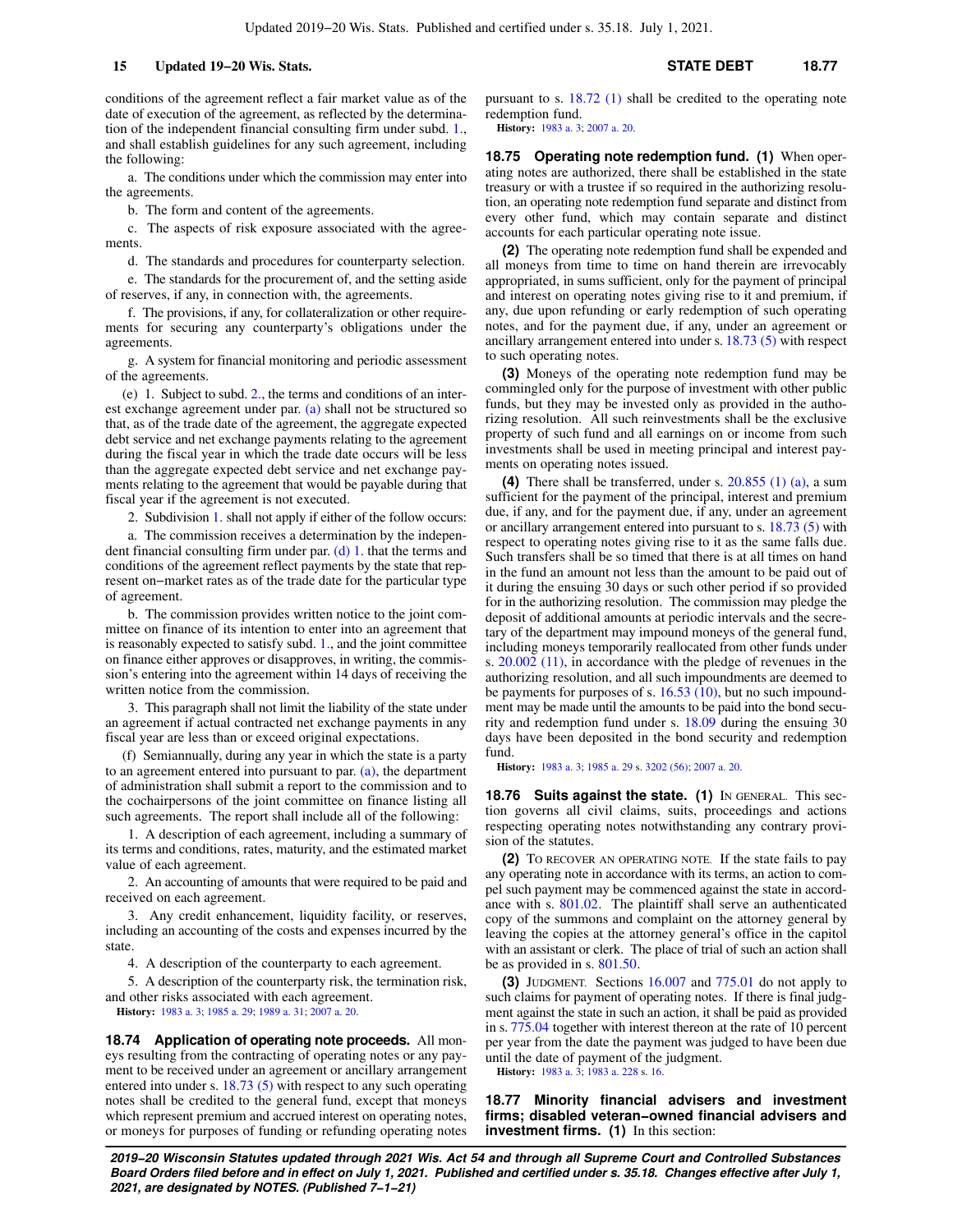conditions of the agreement reflect a fair market value as of the date of execution of the agreement, as reflected by the determination of the independent financial consulting firm under subd. [1.,](https://docs-preview.legis.wisconsin.gov/document/statutes/18.73(5)(d)1.) and shall establish guidelines for any such agreement, including the following:

a. The conditions under which the commission may enter into the agreements.

b. The form and content of the agreements.

c. The aspects of risk exposure associated with the agreements.

d. The standards and procedures for counterparty selection.

e. The standards for the procurement of, and the setting aside of reserves, if any, in connection with, the agreements.

f. The provisions, if any, for collateralization or other requirements for securing any counterparty's obligations under the agreements.

g. A system for financial monitoring and periodic assessment of the agreements.

(e) 1. Subject to subd. [2.](https://docs-preview.legis.wisconsin.gov/document/statutes/18.73(5)(e)2.), the terms and conditions of an interest exchange agreement under par. [\(a\)](https://docs-preview.legis.wisconsin.gov/document/statutes/18.73(5)(a)) shall not be structured so that, as of the trade date of the agreement, the aggregate expected debt service and net exchange payments relating to the agreement during the fiscal year in which the trade date occurs will be less than the aggregate expected debt service and net exchange payments relating to the agreement that would be payable during that fiscal year if the agreement is not executed.

2. Subdivision [1.](https://docs-preview.legis.wisconsin.gov/document/statutes/18.73(5)(e)1.) shall not apply if either of the follow occurs:

a. The commission receives a determination by the independent financial consulting firm under par. [\(d\) 1.](https://docs-preview.legis.wisconsin.gov/document/statutes/18.73(5)(d)1.) that the terms and conditions of the agreement reflect payments by the state that represent on−market rates as of the trade date for the particular type of agreement.

b. The commission provides written notice to the joint committee on finance of its intention to enter into an agreement that is reasonably expected to satisfy subd. [1.](https://docs-preview.legis.wisconsin.gov/document/statutes/18.73(5)(e)1.), and the joint committee on finance either approves or disapproves, in writing, the commission's entering into the agreement within 14 days of receiving the written notice from the commission.

3. This paragraph shall not limit the liability of the state under an agreement if actual contracted net exchange payments in any fiscal year are less than or exceed original expectations.

(f) Semiannually, during any year in which the state is a party to an agreement entered into pursuant to par. [\(a\)](https://docs-preview.legis.wisconsin.gov/document/statutes/18.73(5)(a)), the department of administration shall submit a report to the commission and to the cochairpersons of the joint committee on finance listing all such agreements. The report shall include all of the following:

1. A description of each agreement, including a summary of its terms and conditions, rates, maturity, and the estimated market value of each agreement.

2. An accounting of amounts that were required to be paid and received on each agreement.

3. Any credit enhancement, liquidity facility, or reserves, including an accounting of the costs and expenses incurred by the state.

4. A description of the counterparty to each agreement.

5. A description of the counterparty risk, the termination risk, and other risks associated with each agreement.

**History:** [1983 a. 3](https://docs-preview.legis.wisconsin.gov/document/acts/1983/3); [1985 a. 29](https://docs-preview.legis.wisconsin.gov/document/acts/1985/29); [1989 a. 31;](https://docs-preview.legis.wisconsin.gov/document/acts/1989/31) [2007 a. 20.](https://docs-preview.legis.wisconsin.gov/document/acts/2007/20)

**18.74 Application of operating note proceeds.** All moneys resulting from the contracting of operating notes or any payment to be received under an agreement or ancillary arrangement entered into under s. [18.73 \(5\)](https://docs-preview.legis.wisconsin.gov/document/statutes/18.73(5)) with respect to any such operating notes shall be credited to the general fund, except that moneys which represent premium and accrued interest on operating notes, or moneys for purposes of funding or refunding operating notes pursuant to s. [18.72 \(1\)](https://docs-preview.legis.wisconsin.gov/document/statutes/18.72(1)) shall be credited to the operating note redemption fund.

**History:** [1983 a. 3;](https://docs-preview.legis.wisconsin.gov/document/acts/1983/3) [2007 a. 20.](https://docs-preview.legis.wisconsin.gov/document/acts/2007/20)

**18.75 Operating note redemption fund. (1)** When operating notes are authorized, there shall be established in the state treasury or with a trustee if so required in the authorizing resolution, an operating note redemption fund separate and distinct from every other fund, which may contain separate and distinct accounts for each particular operating note issue.

**(2)** The operating note redemption fund shall be expended and all moneys from time to time on hand therein are irrevocably appropriated, in sums sufficient, only for the payment of principal and interest on operating notes giving rise to it and premium, if any, due upon refunding or early redemption of such operating notes, and for the payment due, if any, under an agreement or ancillary arrangement entered into under s. [18.73 \(5\)](https://docs-preview.legis.wisconsin.gov/document/statutes/18.73(5)) with respect to such operating notes.

**(3)** Moneys of the operating note redemption fund may be commingled only for the purpose of investment with other public funds, but they may be invested only as provided in the authorizing resolution. All such reinvestments shall be the exclusive property of such fund and all earnings on or income from such investments shall be used in meeting principal and interest payments on operating notes issued.

**(4)** There shall be transferred, under s. [20.855 \(1\) \(a\),](https://docs-preview.legis.wisconsin.gov/document/statutes/20.855(1)(a)) a sum sufficient for the payment of the principal, interest and premium due, if any, and for the payment due, if any, under an agreement or ancillary arrangement entered into pursuant to s. [18.73 \(5\)](https://docs-preview.legis.wisconsin.gov/document/statutes/18.73(5)) with respect to operating notes giving rise to it as the same falls due. Such transfers shall be so timed that there is at all times on hand in the fund an amount not less than the amount to be paid out of it during the ensuing 30 days or such other period if so provided for in the authorizing resolution. The commission may pledge the deposit of additional amounts at periodic intervals and the secretary of the department may impound moneys of the general fund, including moneys temporarily reallocated from other funds under s. [20.002 \(11\)](https://docs-preview.legis.wisconsin.gov/document/statutes/20.002(11)), in accordance with the pledge of revenues in the authorizing resolution, and all such impoundments are deemed to be payments for purposes of s. [16.53 \(10\)](https://docs-preview.legis.wisconsin.gov/document/statutes/16.53(10)), but no such impoundment may be made until the amounts to be paid into the bond security and redemption fund under s. [18.09](https://docs-preview.legis.wisconsin.gov/document/statutes/18.09) during the ensuing 30 days have been deposited in the bond security and redemption fund.

**History:** [1983 a. 3;](https://docs-preview.legis.wisconsin.gov/document/acts/1983/3) [1985 a. 29](https://docs-preview.legis.wisconsin.gov/document/acts/1985/29) s. [3202 \(56\)](https://docs-preview.legis.wisconsin.gov/document/acts/1985/29,%20s.%203202); [2007 a. 20](https://docs-preview.legis.wisconsin.gov/document/acts/2007/20).

**18.76 Suits against the state. (1)** In GENERAL. This section governs all civil claims, suits, proceedings and actions respecting operating notes notwithstanding any contrary provision of the statutes.

**(2)** TO RECOVER AN OPERATING NOTE. If the state fails to pay any operating note in accordance with its terms, an action to compel such payment may be commenced against the state in accordance with s. [801.02.](https://docs-preview.legis.wisconsin.gov/document/statutes/801.02) The plaintiff shall serve an authenticated copy of the summons and complaint on the attorney general by leaving the copies at the attorney general's office in the capitol with an assistant or clerk. The place of trial of such an action shall be as provided in s. [801.50](https://docs-preview.legis.wisconsin.gov/document/statutes/801.50).

**(3)** JUDGMENT. Sections [16.007](https://docs-preview.legis.wisconsin.gov/document/statutes/16.007) and [775.01](https://docs-preview.legis.wisconsin.gov/document/statutes/775.01) do not apply to such claims for payment of operating notes. If there is final judgment against the state in such an action, it shall be paid as provided in s. [775.04](https://docs-preview.legis.wisconsin.gov/document/statutes/775.04) together with interest thereon at the rate of 10 percent per year from the date the payment was judged to have been due until the date of payment of the judgment.

**History:** [1983 a. 3;](https://docs-preview.legis.wisconsin.gov/document/acts/1983/3) [1983 a. 228](https://docs-preview.legis.wisconsin.gov/document/acts/1983/228) s. [16](https://docs-preview.legis.wisconsin.gov/document/acts/1983/228,%20s.%2016).

**18.77 Minority financial advisers and investment firms; disabled veteran−owned financial advisers and investment firms. (1)** In this section: